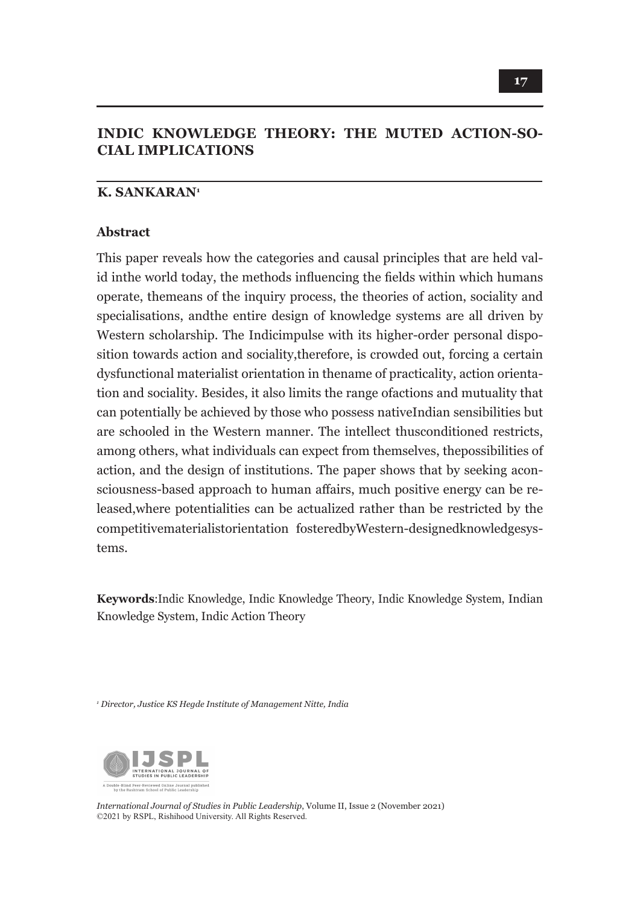# **INDIC KNOWLEDGE THEORY: THE MUTED ACTION-SO-CIAL IMPLICATIONS**

### **K. SANKARAN1**

#### **Abstract**

This paper reveals how the categories and causal principles that are held valid inthe world today, the methods influencing the fields within which humans operate, themeans of the inquiry process, the theories of action, sociality and specialisations, andthe entire design of knowledge systems are all driven by Western scholarship. The Indicimpulse with its higher-order personal disposition towards action and sociality,therefore, is crowded out, forcing a certain dysfunctional materialist orientation in thename of practicality, action orientation and sociality. Besides, it also limits the range ofactions and mutuality that can potentially be achieved by those who possess nativeIndian sensibilities but are schooled in the Western manner. The intellect thusconditioned restricts, among others, what individuals can expect from themselves, thepossibilities of action, and the design of institutions. The paper shows that by seeking aconsciousness-based approach to human affairs, much positive energy can be released,where potentialities can be actualized rather than be restricted by the competitivematerialistorientation fosteredbyWestern-designedknowledgesystems.

**Keywords**:Indic Knowledge, Indic Knowledge Theory, Indic Knowledge System, Indian Knowledge System, Indic Action Theory

*1 Director, Justice KS Hegde Institute of Management Nitte, India*



*International Journal of Studies in Public Leadership*, Volume II, Issue 2 (November 2021) ©2021 by RSPL, Rishihood University. All Rights Reserved.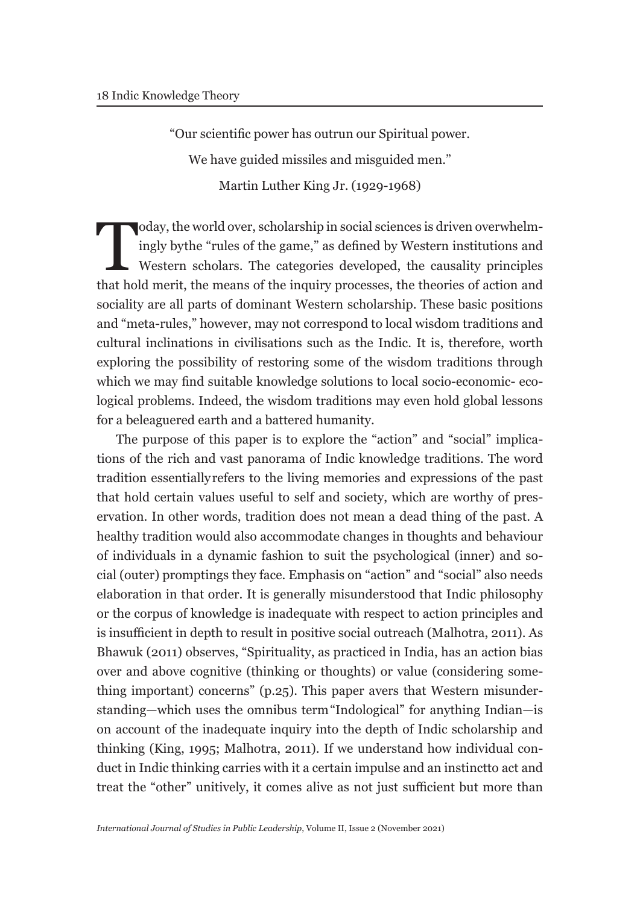"Our scientific power has outrun our Spiritual power.

We have guided missiles and misguided men."

Martin Luther King Jr. (1929-1968)

Today, the world over, scholarship in social sciences is driven overwhelm-<br>ingly by the "rules of the game," as defined by Western institutions and<br>Western scholars. The categories developed, the causality principles<br>that ingly by the "rules of the game," as defined by Western institutions and Western scholars. The categories developed, the causality principles that hold merit, the means of the inquiry processes, the theories of action and sociality are all parts of dominant Western scholarship. These basic positions and "meta-rules," however, may not correspond to local wisdom traditions and cultural inclinations in civilisations such as the Indic. It is, therefore, worth exploring the possibility of restoring some of the wisdom traditions through which we may find suitable knowledge solutions to local socio-economic- ecological problems. Indeed, the wisdom traditions may even hold global lessons for a beleaguered earth and a battered humanity.

The purpose of this paper is to explore the "action" and "social" implications of the rich and vast panorama of Indic knowledge traditions. The word tradition essentially refers to the living memories and expressions of the past that hold certain values useful to self and society, which are worthy of preservation. In other words, tradition does not mean a dead thing of the past. A healthy tradition would also accommodate changes in thoughts and behaviour of individuals in a dynamic fashion to suit the psychological (inner) and social (outer) promptings they face. Emphasis on "action" and "social" also needs elaboration in that order. It is generally misunderstood that Indic philosophy or the corpus of knowledge is inadequate with respect to action principles and is insufficient in depth to result in positive social outreach (Malhotra, 2011). As Bhawuk (2011) observes, "Spirituality, as practiced in India, has an action bias over and above cognitive (thinking or thoughts) or value (considering something important) concerns" (p.25). This paper avers that Western misunderstanding—which uses the omnibus term "Indological" for anything Indian—is on account of the inadequate inquiry into the depth of Indic scholarship and thinking (King, 1995; Malhotra, 2011). If we understand how individual conduct in Indic thinking carries with it a certain impulse and an instinct to act and treat the "other" unitively, it comes alive as not just sufficient but more than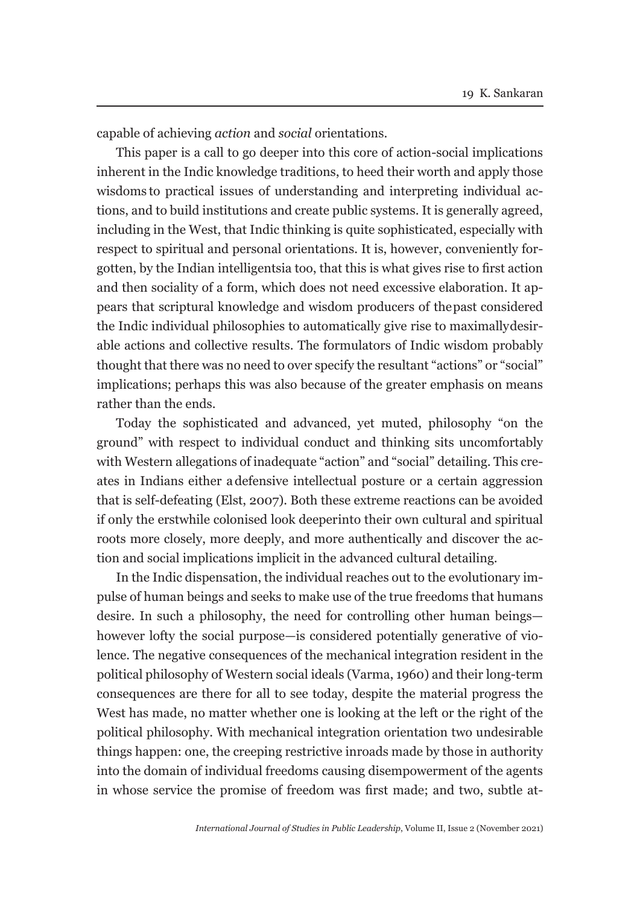capable of achieving *action* and *social* orientations.

This paper is a call to go deeper into this core of action-social implications inherent in the Indic knowledge traditions, to heed their worth and apply those wisdoms to practical issues of understanding and interpreting individual actions, and to build institutions and create public systems. It is generally agreed, including in the West, that Indic thinking is quite sophisticated, especially with respect to spiritual and personal orientations. It is, however, conveniently forgotten, by the Indian intelligentsia too, that this is what gives rise to first action and then sociality of a form, which does not need excessive elaboration. It appears that scriptural knowledge and wisdom producers of the past considered the Indic individual philosophies to automatically give rise to maximally desirable actions and collective results. The formulators of Indic wisdom probably thought that there was no need to over specify the resultant "actions" or "social" implications; perhaps this was also because of the greater emphasis on means rather than the ends.

Today the sophisticated and advanced, yet muted, philosophy "on the ground" with respect to individual conduct and thinking sits uncomfortably with Western allegations of inadequate "action" and "social" detailing. This creates in Indians either a defensive intellectual posture or a certain aggression that is self-defeating (Elst, 2007). Both these extreme reactions can be avoided if only the erstwhile colonised look deeper into their own cultural and spiritual roots more closely, more deeply, and more authentically and discover the action and social implications implicit in the advanced cultural detailing.

In the Indic dispensation, the individual reaches out to the evolutionary impulse of human beings and seeks to make use of the true freedoms that humans desire. In such a philosophy, the need for controlling other human beings however lofty the social purpose—is considered potentially generative of violence. The negative consequences of the mechanical integration resident in the political philosophy of Western social ideals (Varma, 1960) and their long-term consequences are there for all to see today, despite the material progress the West has made, no matter whether one is looking at the left or the right of the political philosophy. With mechanical integration orientation two undesirable things happen: one, the creeping restrictive inroads made by those in authority into the domain of individual freedoms causing disempowerment of the agents in whose service the promise of freedom was first made; and two, subtle at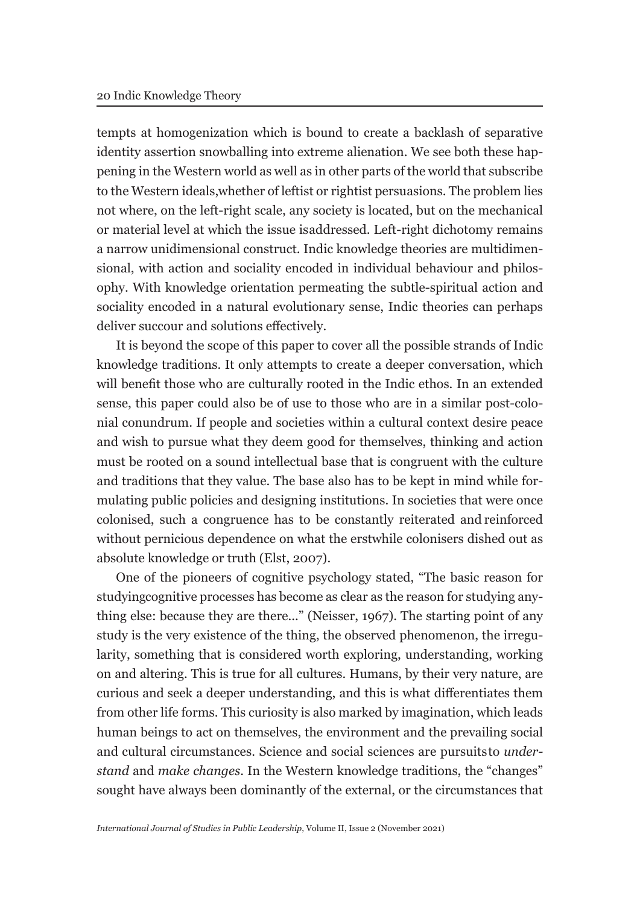tempts at homogenization which is bound to create a backlash of separative identity assertion snowballing into extreme alienation. We see both these happening in the Western world as well as in other parts of the world that subscribe to the Western ideals, whether of leftist or rightist persuasions. The problem lies not where, on the left-right scale, any society is located, but on the mechanical or material level at which the issue is addressed. Left-right dichotomy remains a narrow unidimensional construct. Indic knowledge theories are multidimensional, with action and sociality encoded in individual behaviour and philosophy. With knowledge orientation permeating the subtle-spiritual action and sociality encoded in a natural evolutionary sense, Indic theories can perhaps deliver succour and solutions effectively.

It is beyond the scope of this paper to cover all the possible strands of Indic knowledge traditions. It only attempts to create a deeper conversation, which will benefit those who are culturally rooted in the Indic ethos. In an extended sense, this paper could also be of use to those who are in a similar post-colonial conundrum. If people and societies within a cultural context desire peace and wish to pursue what they deem good for themselves, thinking and action must be rooted on a sound intellectual base that is congruent with the culture and traditions that they value. The base also has to be kept in mind while formulating public policies and designing institutions. In societies that were once colonised, such a congruence has to be constantly reiterated and reinforced without pernicious dependence on what the erstwhile colonisers dished out as absolute knowledge or truth (Elst, 2007).

One of the pioneers of cognitive psychology stated, "The basic reason for studying cognitive processes has become as clear as the reason for studying anything else: because they are there..." (Neisser, 1967). The starting point of any study is the very existence of the thing, the observed phenomenon, the irregularity, something that is considered worth exploring, understanding, working on and altering. This is true for all cultures. Humans, by their very nature, are curious and seek a deeper understanding, and this is what differentiates them from other life forms. This curiosity is also marked by imagination, which leads human beings to act on themselves, the environment and the prevailing social and cultural circumstances. Science and social sciences are pursuits to *understand* and *make changes*. In the Western knowledge traditions, the "changes" sought have always been dominantly of the external, or the circumstances that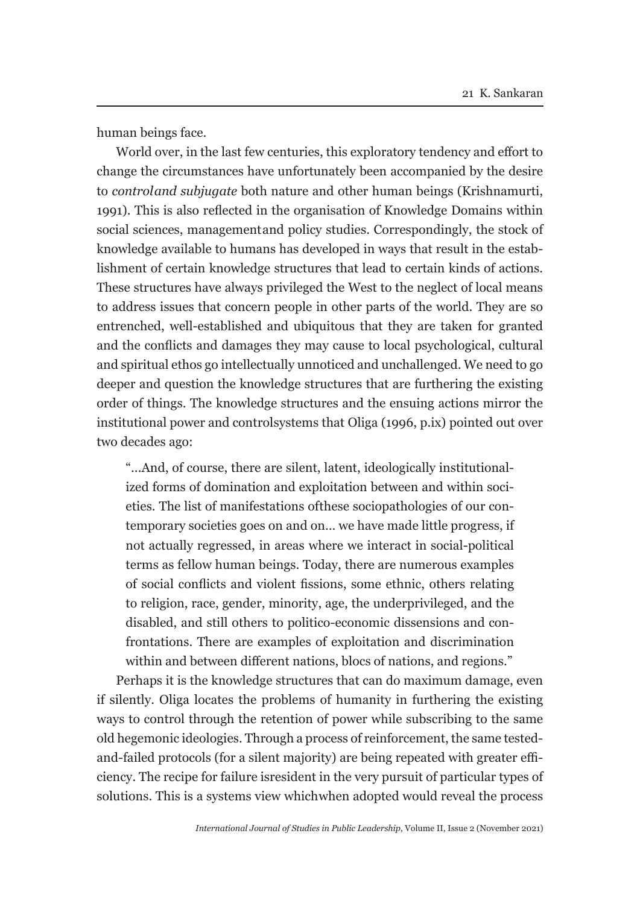human beings face.

World over, in the last few centuries, this exploratory tendency and effort to change the circumstances have unfortunately been accompanied by the desire to *control and subjugate* both nature and other human beings (Krishnamurti, 1991). This is also reflected in the organisation of Knowledge Domains within social sciences, management and policy studies. Correspondingly, the stock of knowledge available to humans has developed in ways that result in the establishment of certain knowledge structures that lead to certain kinds of actions. These structures have always privileged the West to the neglect of local means to address issues that concern people in other parts of the world. They are so entrenched, well-established and ubiquitous that they are taken for granted and the conflicts and damages they may cause to local psychological, cultural and spiritual ethos go intellectually unnoticed and unchallenged. We need to go deeper and question the knowledge structures that are furthering the existing order of things. The knowledge structures and the ensuing actions mirror the institutional power and controlsystems that Oliga (1996, p.ix) pointed out over two decades ago:

"...And, of course, there are silent, latent, ideologically institutionalized forms of domination and exploitation between and within societies. The list of manifestations of these sociopathologies of our contemporary societies goes on and on… we have made little progress, if not actually regressed, in areas where we interact in social-political terms as fellow human beings. Today, there are numerous examples of social conflicts and violent fissions, some ethnic, others relating to religion, race, gender, minority, age, the underprivileged, and the disabled, and still others to politico-economic dissensions and confrontations. There are examples of exploitation and discrimination within and between different nations, blocs of nations, and regions."

Perhaps it is the knowledge structures that can do maximum damage, even if silently. Oliga locates the problems of humanity in furthering the existing ways to control through the retention of power while subscribing to the same old hegemonic ideologies. Through a process of reinforcement, the same testedand-failed protocols (for a silent majority) are being repeated with greater efficiency. The recipe for failure is resident in the very pursuit of particular types of solutions. This is a systems view which when adopted would reveal the process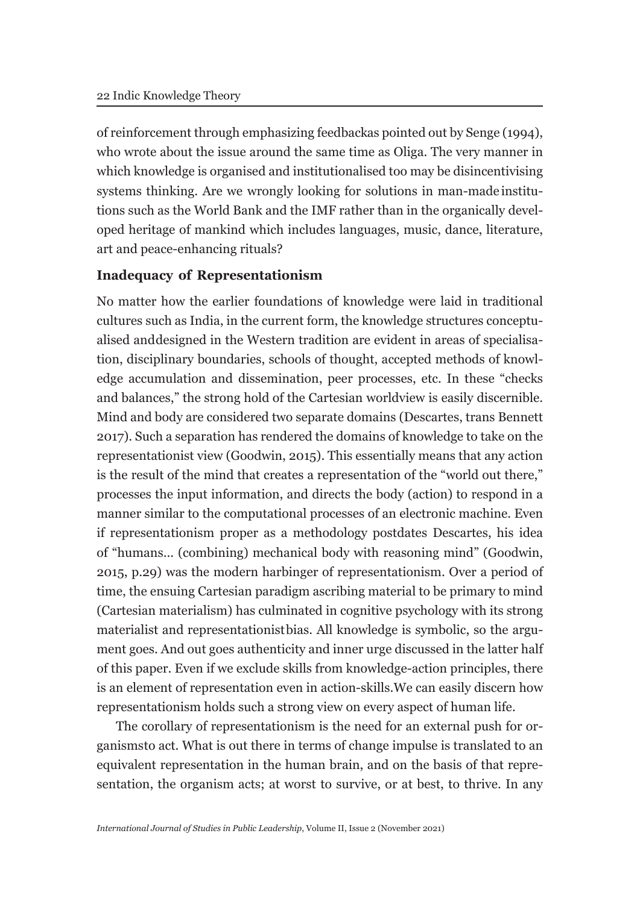of reinforcement through emphasizing feedback as pointed out by Senge (1994), who wrote about the issue around the same time as Oliga. The very manner in which knowledge is organised and institutionalised too may be disincentivising systems thinking. Are we wrongly looking for solutions in man-made institutions such as the World Bank and the IMF rather than in the organically developed heritage of mankind which includes languages, music, dance, literature, art and peace-enhancing rituals?

### **Inadequacy of Representationism**

No matter how the earlier foundations of knowledge were laid in traditional cultures such as India, in the current form, the knowledge structures conceptualised and designed in the Western tradition are evident in areas of specialisation, disciplinary boundaries, schools of thought, accepted methods of knowledge accumulation and dissemination, peer processes, etc. In these "checks and balances," the strong hold of the Cartesian worldview is easily discernible. Mind and body are considered two separate domains (Descartes, trans Bennett 2017). Such a separation has rendered the domains of knowledge to take on the representationist view (Goodwin, 2015). This essentially means that any action is the result of the mind that creates a representation of the "world out there," processes the input information, and directs the body (action) to respond in a manner similar to the computational processes of an electronic machine. Even if representationism proper as a methodology postdates Descartes, his idea of "humans... (combining) mechanical body with reasoning mind" (Goodwin, 2015, p.29) was the modern harbinger of representationism. Over a period of time, the ensuing Cartesian paradigm ascribing material to be primary to mind (Cartesian materialism) has culminated in cognitive psychology with its strong materialist and representationist bias. All knowledge is symbolic, so the argument goes. And out goes authenticity and inner urge discussed in the latter half of this paper. Even if we exclude skills from knowledge-action principles, there is an element of representation even in action-skills. We can easily discern how representationism holds such a strong view on every aspect of human life.

The corollary of representationism is the need for an external push for organisms to act. What is out there in terms of change impulse is translated to an equivalent representation in the human brain, and on the basis of that representation, the organism acts; at worst to survive, or at best, to thrive. In any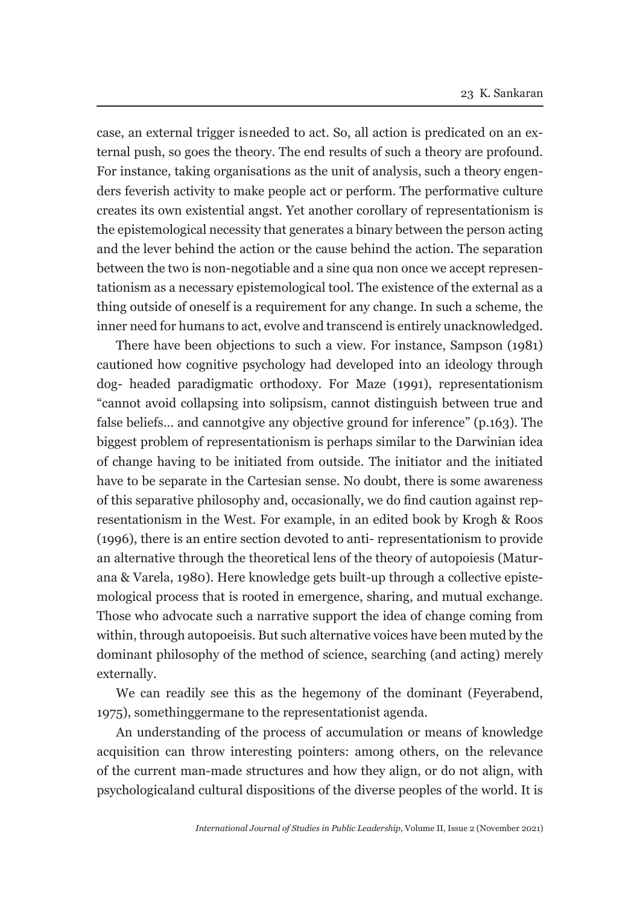case, an external trigger is needed to act. So, all action is predicated on an external push, so goes the theory. The end results of such a theory are profound. For instance, taking organisations as the unit of analysis, such a theory engenders feverish activity to make people act or perform. The performative culture creates its own existential angst. Yet another corollary of representationism is the epistemological necessity that generates a binary between the person acting and the lever behind the action or the cause behind the action. The separation between the two is non-negotiable and a sine qua non once we accept representationism as a necessary epistemological tool. The existence of the external as a thing outside of oneself is a requirement for any change. In such a scheme, the inner need for humans to act, evolve and transcend is entirely unacknowledged.

There have been objections to such a view. For instance, Sampson (1981) cautioned how cognitive psychology had developed into an ideology through dog- headed paradigmatic orthodoxy. For Maze (1991), representationism "cannot avoid collapsing into solipsism, cannot distinguish between true and false beliefs... and cannot give any objective ground for inference" (p.163). The biggest problem of representationism is perhaps similar to the Darwinian idea of change having to be initiated from outside. The initiator and the initiated have to be separate in the Cartesian sense. No doubt, there is some awareness of this separative philosophy and, occasionally, we do find caution against representationism in the West. For example, in an edited book by Krogh & Roos (1996), there is an entire section devoted to anti- representationism to provide an alternative through the theoretical lens of the theory of autopoiesis (Maturana & Varela, 1980). Here knowledge gets built-up through a collective epistemological process that is rooted in emergence, sharing, and mutual exchange. Those who advocate such a narrative support the idea of change coming from within, through autopoeisis. But such alternative voices have been muted by the dominant philosophy of the method of science, searching (and acting) merely externally.

We can readily see this as the hegemony of the dominant (Feyerabend, 1975), something germane to the representationist agenda.

An understanding of the process of accumulation or means of knowledge acquisition can throw interesting pointers: among others, on the relevance of the current man-made structures and how they align, or do not align, with psychological and cultural dispositions of the diverse peoples of the world. It is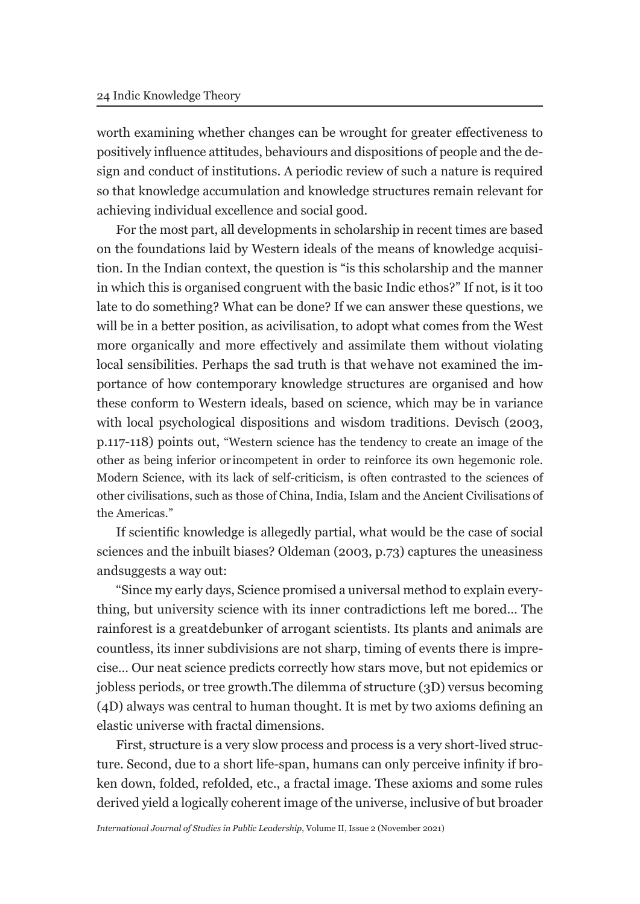worth examining whether changes can be wrought for greater effectiveness to positively influence attitudes, behaviours and dispositions of people and the design and conduct of institutions. A periodic review of such a nature is required so that knowledge accumulation and knowledge structures remain relevant for achieving individual excellence and social good.

For the most part, all developments in scholarship in recent times are based on the foundations laid by Western ideals of the means of knowledge acquisition. In the Indian context, the question is "is this scholarship and the manner in which this is organised congruent with the basic Indic ethos?" If not, is it too late to do something? What can be done? If we can answer these questions, we will be in a better position, as acivilisation, to adopt what comes from the West more organically and more effectively and assimilate them without violating local sensibilities. Perhaps the sad truth is that we have not examined the importance of how contemporary knowledge structures are organised and how these conform to Western ideals, based on science, which may be in variance with local psychological dispositions and wisdom traditions. Devisch (2003, p.117-118) points out, "Western science has the tendency to create an image of the other as being inferior or incompetent in order to reinforce its own hegemonic role. Modern Science, with its lack of self-criticism, is often contrasted to the sciences of other civilisations, such as those of China, India, Islam and the Ancient Civilisations of the Americas."

If scientific knowledge is allegedly partial, what would be the case of social sciences and the inbuilt biases? Oldeman (2003, p.73) captures the uneasiness and suggests a way out:

"Since my early days, Science promised a universal method to explain everything, but university science with its inner contradictions left me bored… The rainforest is a great debunker of arrogant scientists. Its plants and animals are countless, its inner subdivisions are not sharp, timing of events there is imprecise… Our neat science predicts correctly how stars move, but not epidemics or jobless periods, or tree growth. The dilemma of structure (3D) versus becoming (4D) always was central to human thought. It is met by two axioms defining an elastic universe with fractal dimensions.

First, structure is a very slow process and process is a very short-lived structure. Second, due to a short life-span, humans can only perceive infinity if broken down, folded, refolded, etc., a fractal image. These axioms and some rules derived yield a logically coherent image of the universe, inclusive of but broader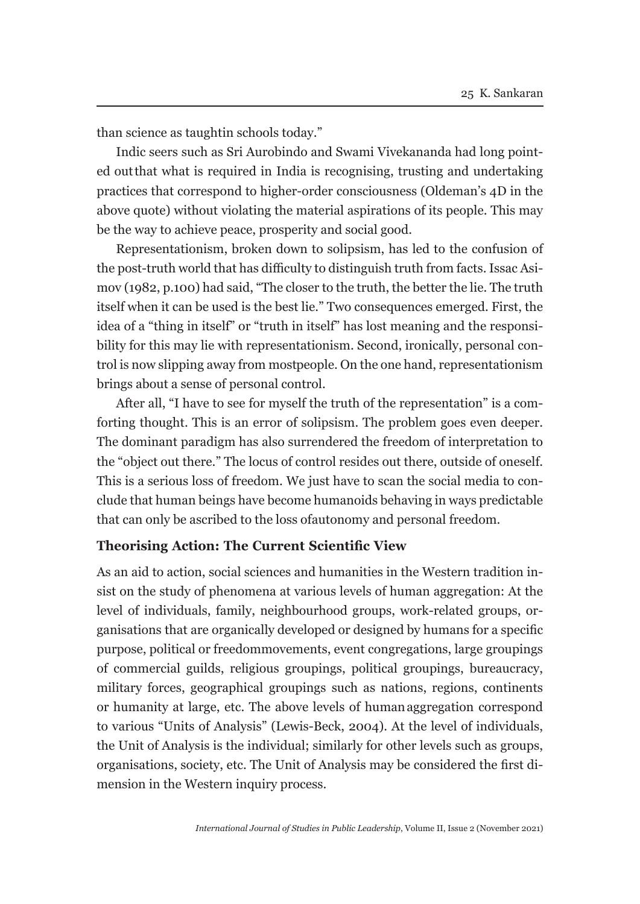than science as taughtin schools today."

Indic seers such as Sri Aurobindo and Swami Vivekananda had long pointed out that what is required in India is recognising, trusting and undertaking practices that correspond to higher-order consciousness (Oldeman's 4D in the above quote) without violating the material aspirations of its people. This may be the way to achieve peace, prosperity and social good.

Representationism, broken down to solipsism, has led to the confusion of the post-truth world that has difficulty to distinguish truth from facts. Issac Asimov (1982, p.100) had said, "The closer to the truth, the better the lie. The truth itself when it can be used is the best lie." Two consequences emerged. First, the idea of a "thing in itself" or "truth in itself" has lost meaning and the responsibility for this may lie with representationism. Second, ironically, personal control is now slipping away from mostpeople. On the one hand, representationism brings about a sense of personal control.

After all, "I have to see for myself the truth of the representation" is a comforting thought. This is an error of solipsism. The problem goes even deeper. The dominant paradigm has also surrendered the freedom of interpretation to the "object out there." The locus of control resides out there, outside of oneself. This is a serious loss of freedom. We just have to scan the social media to conclude that human beings have become humanoids behaving in ways predictable that can only be ascribed to the loss of autonomy and personal freedom.

### **Theorising Action: The Current Scientific View**

As an aid to action, social sciences and humanities in the Western tradition insist on the study of phenomena at various levels of human aggregation: At the level of individuals, family, neighbourhood groups, work-related groups, organisations that are organically developed or designed by humans for a specific purpose, political or freedom movements, event congregations, large groupings of commercial guilds, religious groupings, political groupings, bureaucracy, military forces, geographical groupings such as nations, regions, continents or humanity at large, etc. The above levels of human aggregation correspond to various "Units of Analysis" (Lewis-Beck, 2004). At the level of individuals, the Unit of Analysis is the individual; similarly for other levels such as groups, organisations, society, etc. The Unit of Analysis may be considered the first dimension in the Western inquiry process.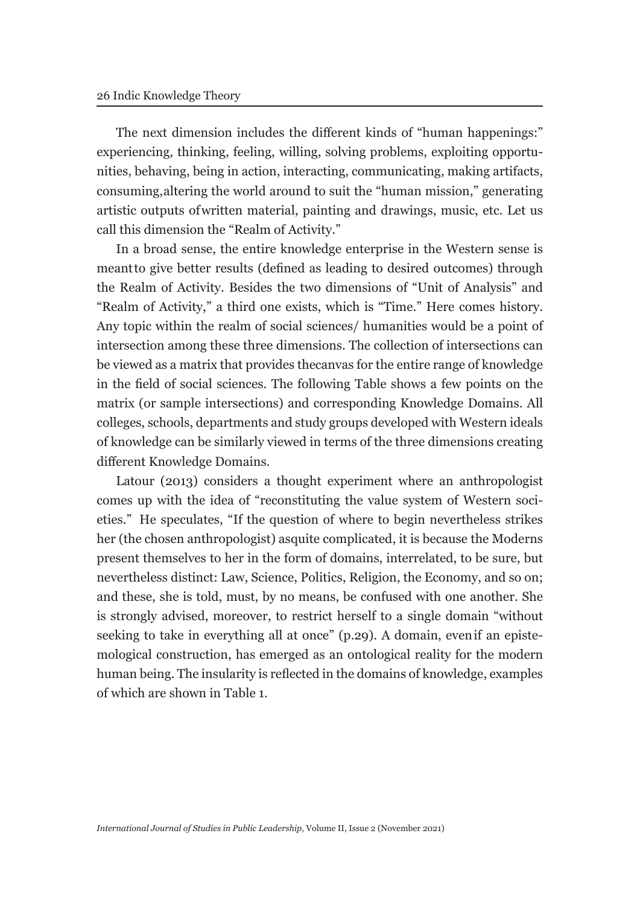The next dimension includes the different kinds of "human happenings:" experiencing, thinking, feeling, willing, solving problems, exploiting opportunities, behaving, being in action, interacting, communicating, making artifacts, consuming, altering the world around to suit the "human mission," generating artistic outputs of written material, painting and drawings, music, etc. Let us call this dimension the "Realm of Activity."

In a broad sense, the entire knowledge enterprise in the Western sense is meant to give better results (defined as leading to desired outcomes) through the Realm of Activity. Besides the two dimensions of "Unit of Analysis" and "Realm of Activity," a third one exists, which is "Time." Here comes history. Any topic within the realm of social sciences/ humanities would be a point of intersection among these three dimensions. The collection of intersections can be viewed as a matrix that provides the canvas for the entire range of knowledge in the field of social sciences. The following Table shows a few points on the matrix (or sample intersections) and corresponding Knowledge Domains. All colleges, schools, departments and study groups developed with Western ideals of knowledge can be similarly viewed in terms of the three dimensions creating different Knowledge Domains.

Latour (2013) considers a thought experiment where an anthropologist comes up with the idea of "reconstituting the value system of Western societies." He speculates, "If the question of where to begin nevertheless strikes her (the chosen anthropologist) asquite complicated, it is because the Moderns present themselves to her in the form of domains, interrelated, to be sure, but nevertheless distinct: Law, Science, Politics, Religion, the Economy, and so on; and these, she is told, must, by no means, be confused with one another. She is strongly advised, moreover, to restrict herself to a single domain "without seeking to take in everything all at once" (p.29). A domain, even if an epistemological construction, has emerged as an ontological reality for the modern human being. The insularity is reflected in the domains of knowledge, examples of which are shown in Table 1.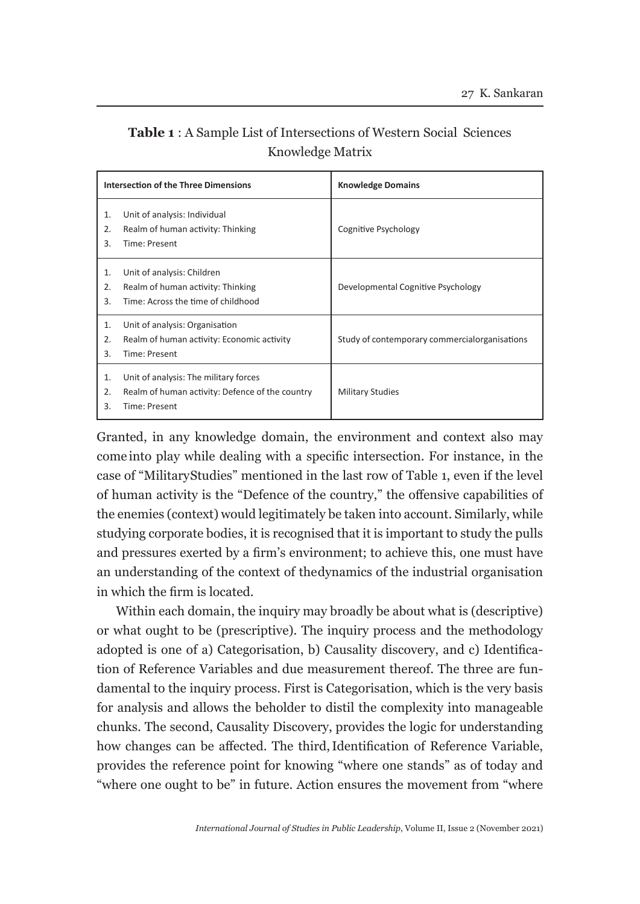| <b>Table 1:</b> A Sample List of Intersections of Western Social Sciences |  |
|---------------------------------------------------------------------------|--|
| Knowledge Matrix                                                          |  |

|                | <b>Intersection of the Three Dimensions</b>                                                               | <b>Knowledge Domains</b>                      |
|----------------|-----------------------------------------------------------------------------------------------------------|-----------------------------------------------|
| 1.<br>2.<br>3. | Unit of analysis: Individual<br>Realm of human activity: Thinking<br>Time: Present                        | Cognitive Psychology                          |
| 1.<br>2.<br>3. | Unit of analysis: Children<br>Realm of human activity: Thinking<br>Time: Across the time of childhood     | Developmental Cognitive Psychology            |
| 1.<br>2.<br>3. | Unit of analysis: Organisation<br>Realm of human activity: Economic activity<br>Time: Present             | Study of contemporary commercialorganisations |
| 1.<br>2.<br>3. | Unit of analysis: The military forces<br>Realm of human activity: Defence of the country<br>Time: Present | <b>Military Studies</b>                       |

Granted, in any knowledge domain, the environment and context also may come into play while dealing with a specific intersection. For instance, in the case of "Military Studies" mentioned in the last row of Table 1, even if the level of human activity is the "Defence of the country," the offensive capabilities of the enemies (context) would legitimately be taken into account. Similarly, while studying corporate bodies, it is recognised that it is important to study the pulls and pressures exerted by a firm's environment; to achieve this, one must have an understanding of the context of the dynamics of the industrial organisation in which the firm is located.

Within each domain, the inquiry may broadly be about what is (descriptive) or what ought to be (prescriptive). The inquiry process and the methodology adopted is one of a) Categorisation, b) Causality discovery, and c) Identification of Reference Variables and due measurement thereof. The three are fundamental to the inquiry process. First is Categorisation, which is the very basis for analysis and allows the beholder to distil the complexity into manageable chunks. The second, Causality Discovery, provides the logic for understanding how changes can be affected. The third, Identification of Reference Variable, provides the reference point for knowing "where one stands" as of today and "where one ought to be" in future. Action ensures the movement from "where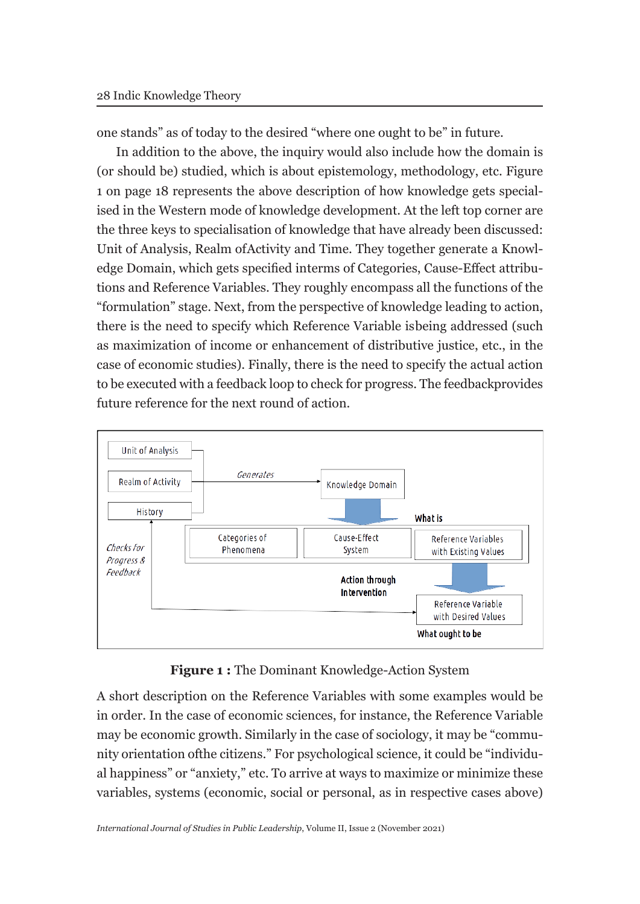one stands" as of today to the desired "where one ought to be" in future.

In addition to the above, the inquiry would also include how the domain is (or should be) studied, which is about epistemology, methodology, etc. Figure 1 on page 18 represents the above description of how knowledge gets specialised in the Western mode of knowledge development. At the left top corner are the three keys to specialisation of knowledge that have already been discussed: Unit of Analysis, Realm of Activity and Time. They together generate a Knowledge Domain, which gets specified in terms of Categories, Cause-Effect attributions and Reference Variables. They roughly encompass all the functions of the "formulation" stage. Next, from the perspective of knowledge leading to action, there is the need to specify which Reference Variable is being addressed (such as maximization of income or enhancement of distributive justice, etc., in the case of economic studies). Finally, there is the need to specify the actual action to be executed with a feedback loop to check for progress. The feedback provides future reference for the next round of action.



**Figure 1 :** The Dominant Knowledge-Action System

A short description on the Reference Variables with some examples would be in order. In the case of economic sciences, for instance, the Reference Variable may be economic growth. Similarly in the case of sociology, it may be "community orientation of the citizens." For psychological science, it could be "individual happiness" or "anxiety," etc. To arrive at ways to maximize or minimize these variables, systems (economic, social or personal, as in respective cases above)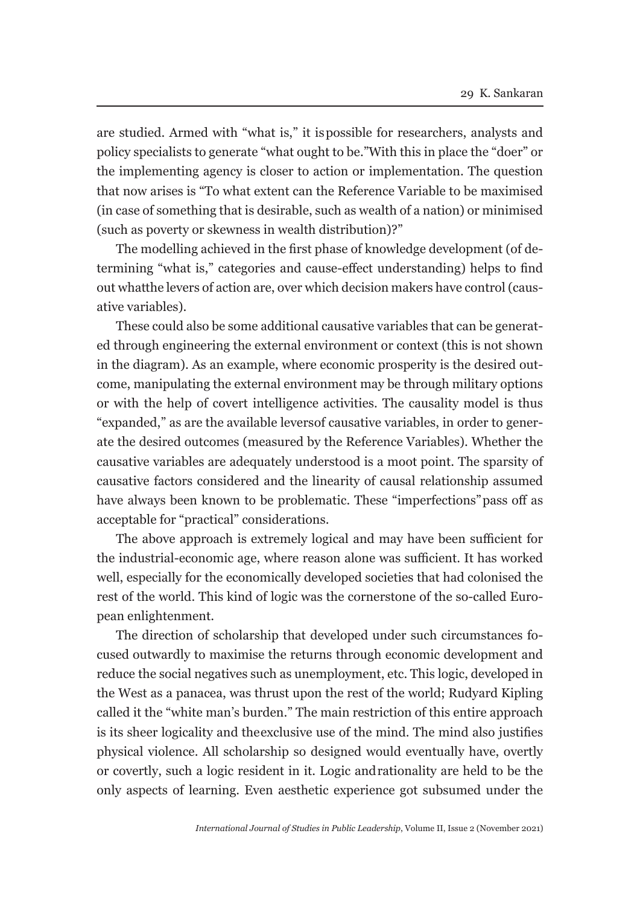are studied. Armed with "what is," it is possible for researchers, analysts and policy specialists to generate "what ought to be." With this in place the "doer" or the implementing agency is closer to action or implementation. The question that now arises is "To what extent can the Reference Variable to be maximised (in case of something that is desirable, such as wealth of a nation) or minimised (such as poverty or skewness in wealth distribution)?"

The modelling achieved in the first phase of knowledge development (of determining "what is," categories and cause-effect understanding) helps to find out what the levers of action are, over which decision makers have control (causative variables).

These could also be some additional causative variables that can be generated through engineering the external environment or context (this is not shown in the diagram). As an example, where economic prosperity is the desired outcome, manipulating the external environment may be through military options or with the help of covert intelligence activities. The causality model is thus "expanded," as are the available levers of causative variables, in order to generate the desired outcomes (measured by the Reference Variables). Whether the causative variables are adequately understood is a moot point. The sparsity of causative factors considered and the linearity of causal relationship assumed have always been known to be problematic. These "imperfections" pass off as acceptable for "practical" considerations.

The above approach is extremely logical and may have been sufficient for the industrial-economic age, where reason alone was sufficient. It has worked well, especially for the economically developed societies that had colonised the rest of the world. This kind of logic was the cornerstone of the so-called European enlightenment.

The direction of scholarship that developed under such circumstances focused outwardly to maximise the returns through economic development and reduce the social negatives such as unemployment, etc. This logic, developed in the West as a panacea, was thrust upon the rest of the world; Rudyard Kipling called it the "white man's burden." The main restriction of this entire approach is its sheer logicality and the exclusive use of the mind. The mind also justifies physical violence. All scholarship so designed would eventually have, overtly or covertly, such a logic resident in it. Logic and rationality are held to be the only aspects of learning. Even aesthetic experience got subsumed under the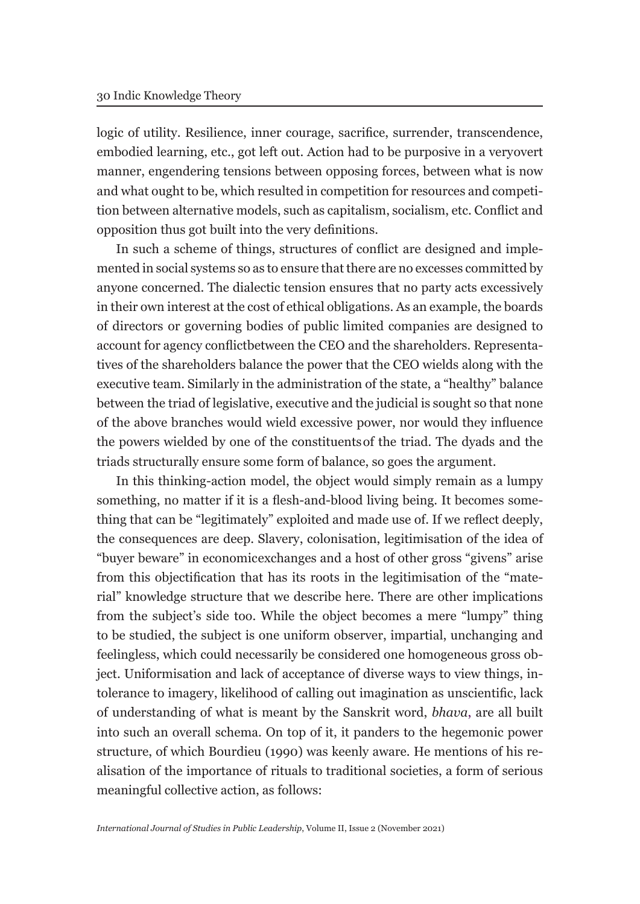logic of utility. Resilience, inner courage, sacrifice, surrender, transcendence, embodied learning, etc., got left out. Action had to be purposive in a very overt manner, engendering tensions between opposing forces, between what is now and what ought to be, which resulted in competition for resources and competition between alternative models, such as capitalism, socialism, etc. Conflict and opposition thus got built into the very definitions.

In such a scheme of things, structures of conflict are designed and implemented in social systems so as to ensure that there are no excesses committed by anyone concerned. The dialectic tension ensures that no party acts excessively in their own interest at the cost of ethical obligations. As an example, the boards of directors or governing bodies of public limited companies are designed to account for agency conflict between the CEO and the shareholders. Representatives of the shareholders balance the power that the CEO wields along with the executive team. Similarly in the administration of the state, a "healthy" balance between the triad of legislative, executive and the judicial is sought so that none of the above branches would wield excessive power, nor would they influence the powers wielded by one of the constituents of the triad. The dyads and the triads structurally ensure some form of balance, so goes the argument.

In this thinking-action model, the object would simply remain as a lumpy something, no matter if it is a flesh-and-blood living being. It becomes something that can be "legitimately" exploited and made use of. If we reflect deeply, the consequences are deep. Slavery, colonisation, legitimisation of the idea of "buyer beware" in economic exchanges and a host of other gross "givens" arise from this objectification that has its roots in the legitimisation of the "material" knowledge structure that we describe here. There are other implications from the subject's side too. While the object becomes a mere "lumpy" thing to be studied, the subject is one uniform observer, impartial, unchanging and feelingless, which could necessarily be considered one homogeneous gross object. Uniformisation and lack of acceptance of diverse ways to view things, intolerance to imagery, likelihood of calling out imagination as unscientific, lack of understanding of what is meant by the Sanskrit word, *bhava*, are all built into such an overall schema. On top of it, it panders to the hegemonic power structure, of which Bourdieu (1990) was keenly aware. He mentions of his realisation of the importance of rituals to traditional societies, a form of serious meaningful collective action, as follows: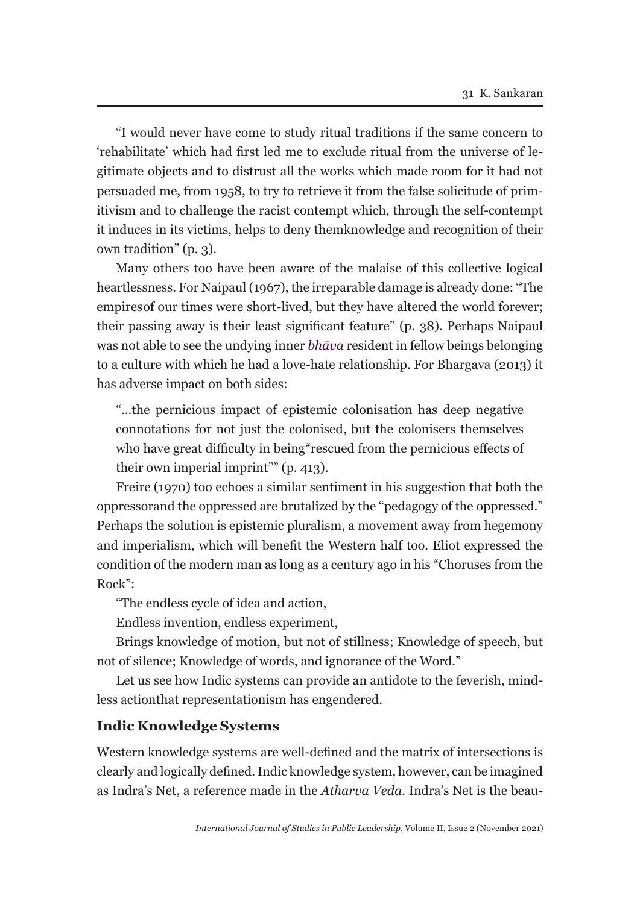"I would never have come to study ritual traditions if the same concern to 'rehabilitate' which had first led me to exclude ritual from the universe of legitimate objects and to distrust all the works which made room for it had not persuaded me, from 1958, to try to retrieve it from the false solicitude of primitivism and to challenge the racist contempt which, through the self-contempt it induces in its victims, helps to deny them knowledge and recognition of their own tradition" (p. 3).

Many others too have been aware of the malaise of this collective logical heartlessness. For Naipaul (1967), the irreparable damage is already done: "The empires of our times were short-lived, but they have altered the world forever; their passing away is their least significant feature" (p. 38). Perhaps Naipaul was not able to see the undying inner *bhāva* resident in fellow beings belonging to a culture with which he had a love-hate relationship. For Bhargava (2013) it has adverse impact on both sides:

"…the pernicious impact of epistemic colonisation has deep negative connotations for not just the colonised, but the colonisers themselves who have great difficulty in being "rescued from the pernicious effects of their own imperial imprint"" (p. 413).

Freire (1970) too echoes a similar sentiment in his suggestion that both the oppressor and the oppressed are brutalized by the "pedagogy of the oppressed." Perhaps the solution is epistemic pluralism, a movement away from hegemony and imperialism, which will benefit the Western half too. Eliot expressed the condition of the modern man as long as a century ago in his "Choruses from the Rock":

"The endless cycle of idea and action,

Endless invention, endless experiment,

Brings knowledge of motion, but not of stillness; Knowledge of speech, but not of silence; Knowledge of words, and ignorance of the Word."

Let us see how Indic systems can provide an antidote to the feverish, mindless action that representationism has engendered.

## **Indic Knowledge Systems**

Western knowledge systems are well-defined and the matrix of intersections is clearly and logically defined. Indic knowledge system, however, can be imagined as Indra's Net, a reference made in the *Atharva Veda*. Indra's Net is the beau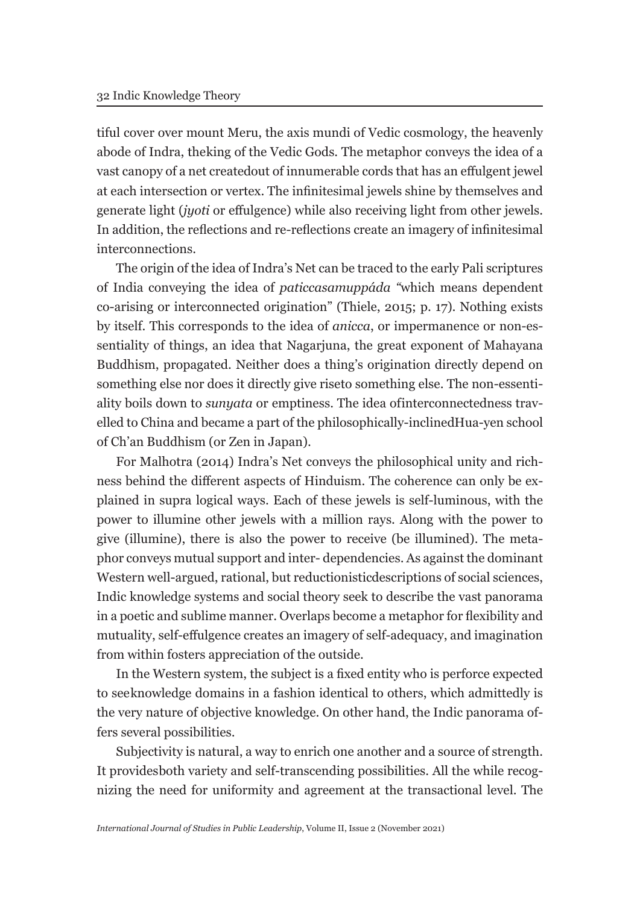tiful cover over mount Meru, the axis mundi of Vedic cosmology, the heavenly abode of Indra, the king of the Vedic Gods. The metaphor conveys the idea of a vast canopy of a net created out of innumerable cords that has an effulgent jewel at each intersection or vertex. The infinitesimal jewels shine by themselves and generate light (*jyoti* or effulgence) while also receiving light from other jewels. In addition, the reflections and re-reflections create an imagery of infinitesimal interconnections.

The origin of the idea of Indra's Net can be traced to the early Pali scriptures of India conveying the idea of *paticcasamuppáda "*which means dependent co-arising or interconnected origination" (Thiele, 2015; p. 17)*.* Nothing exists by itself. This corresponds to the idea of *anicca*, or impermanence or non-essentiality of things, an idea that Nagarjuna, the great exponent of Mahayana Buddhism, propagated. Neither does a thing's origination directly depend on something else nor does it directly give riseto something else. The non-essentiality boils down to *sunyata* or emptiness. The idea of interconnectedness travelled to China and became a part of the philosophically-inclined Hua-yen school of Ch'an Buddhism (or Zen in Japan).

For Malhotra (2014) Indra's Net conveys the philosophical unity and richness behind the different aspects of Hinduism. The coherence can only be explained in supra logical ways. Each of these jewels is self-luminous, with the power to illumine other jewels with a million rays. Along with the power to give (illumine), there is also the power to receive (be illumined). The metaphor conveys mutual support and inter- dependencies. As against the dominant Western well-argued, rational, but reductionistic descriptions of social sciences, Indic knowledge systems and social theory seek to describe the vast panorama in a poetic and sublime manner. Overlaps become a metaphor for flexibility and mutuality, self-effulgence creates an imagery of self-adequacy, and imagination from within fosters appreciation of the outside.

In the Western system, the subject is a fixed entity who is perforce expected to see knowledge domains in a fashion identical to others, which admittedly is the very nature of objective knowledge. On other hand, the Indic panorama offers several possibilities.

Subjectivity is natural, a way to enrich one another and a source of strength. It provides both variety and self-transcending possibilities. All the while recognizing the need for uniformity and agreement at the transactional level. The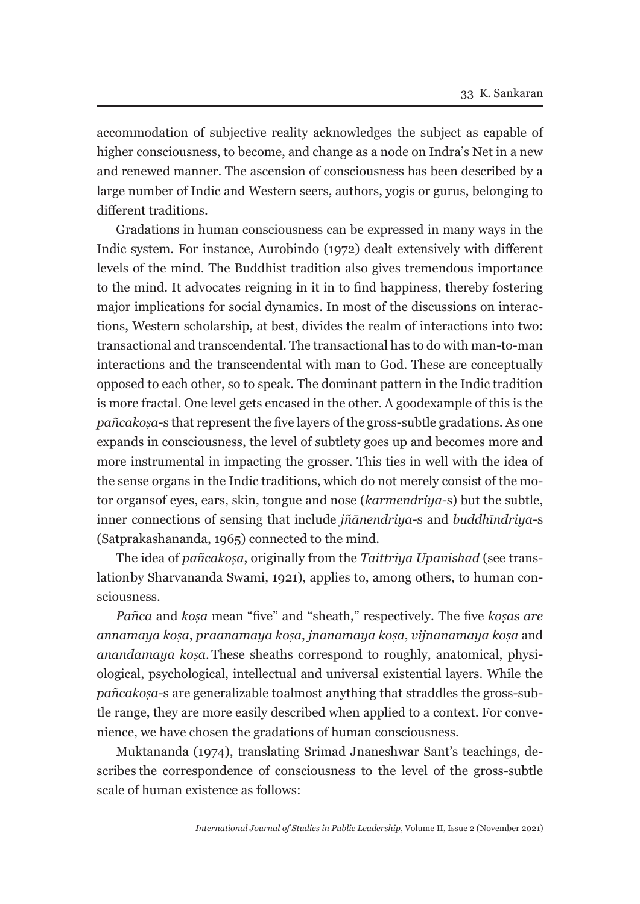accommodation of subjective reality acknowledges the subject as capable of higher consciousness, to become, and change as a node on Indra's Net in a new and renewed manner. The ascension of consciousness has been described by a large number of Indic and Western seers, authors, yogis or gurus, belonging to different traditions.

Gradations in human consciousness can be expressed in many ways in the Indic system. For instance, Aurobindo (1972) dealt extensively with different levels of the mind. The Buddhist tradition also gives tremendous importance to the mind. It advocates reigning in it in to find happiness, thereby fostering major implications for social dynamics. In most of the discussions on interactions, Western scholarship, at best, divides the realm of interactions into two: transactional and transcendental. The transactional has to do with man-to-man interactions and the transcendental with man to God. These are conceptually opposed to each other, so to speak. The dominant pattern in the Indic tradition is more fractal. One level gets encased in the other. A good example of this is the *pañcakoṣa-*s that represent the five layers of the gross-subtle gradations. As one expands in consciousness, the level of subtlety goes up and becomes more and more instrumental in impacting the grosser. This ties in well with the idea of the sense organs in the Indic traditions, which do not merely consist of the motor organs of eyes, ears, skin, tongue and nose (*karmendriya-*s) but the subtle, inner connections of sensing that include *jñānendriya-*s and *buddhīndriya-*s (Satprakashananda, 1965) connected to the mind.

The idea of *pañcakoṣa*, originally from the *Taittriya Upanishad* (see translation by Sharvananda Swami, 1921), applies to, among others, to human consciousness.

*Pañca* and *koṣa* mean "five" and "sheath," respectively. The five *koṣas are annamaya koṣa*, *praanamaya koṣa*, *jnanamaya koṣa*, *vijnanamaya koṣa* and *anandamaya kosa*. These sheaths correspond to roughly, anatomical, physiological, psychological, intellectual and universal existential layers. While the *pañcakoṣa-*s are generalizable to almost anything that straddles the gross-subtle range, they are more easily described when applied to a context. For convenience, we have chosen the gradations of human consciousness.

Muktananda (1974), translating Srimad Jnaneshwar Sant's teachings, describes the correspondence of consciousness to the level of the gross-subtle scale of human existence as follows: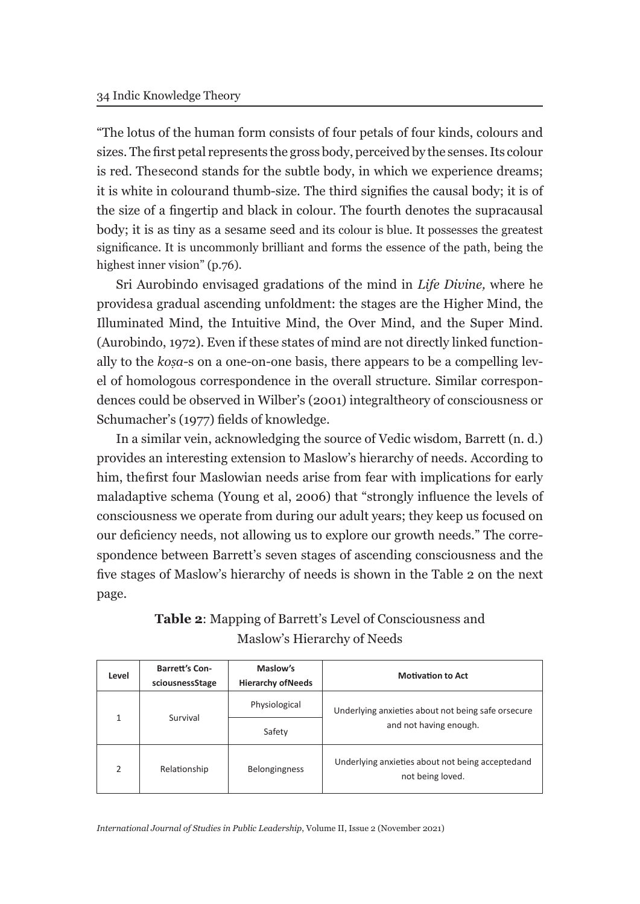"The lotus of the human form consists of four petals of four kinds, colours and sizes. The first petal represents the gross body, perceived by the senses. Its colour is red. The second stands for the subtle body, in which we experience dreams; it is white in colour and thumb-size. The third signifies the causal body; it is of the size of a fingertip and black in colour. The fourth denotes the supracausal body; it is as tiny as a sesame seed and its colour is blue. It possesses the greatest significance. It is uncommonly brilliant and forms the essence of the path, being the highest inner vision" (p.76).

Sri Aurobindo envisaged gradations of the mind in *Life Divine,* where he provides a gradual ascending unfoldment: the stages are the Higher Mind, the Illuminated Mind, the Intuitive Mind, the Over Mind, and the Super Mind. (Aurobindo, 1972). Even if these states of mind are not directly linked functionally to the *koṣa-*s on a one-on-one basis, there appears to be a compelling level of homologous correspondence in the overall structure. Similar correspondences could be observed in Wilber's (2001) integral theory of consciousness or Schumacher's (1977) fields of knowledge.

In a similar vein, acknowledging the source of Vedic wisdom, Barrett (n. d.) provides an interesting extension to Maslow's hierarchy of needs. According to him, the first four Maslowian needs arise from fear with implications for early maladaptive schema (Young et al, 2006) that "strongly influence the levels of consciousness we operate from during our adult years; they keep us focused on our deficiency needs, not allowing us to explore our growth needs." The correspondence between Barrett's seven stages of ascending consciousness and the five stages of Maslow's hierarchy of needs is shown in the Table 2 on the next page.

| Level         | <b>Barrett's Con-</b><br>sciousnessStage | Maslow's<br><b>Hierarchy of Needs</b> | <b>Motivation to Act</b>                                             |  |
|---------------|------------------------------------------|---------------------------------------|----------------------------------------------------------------------|--|
| 1             | Survival                                 | Physiological                         | Underlying anxieties about not being safe or secure                  |  |
|               |                                          | Safety                                | and not having enough.                                               |  |
| $\mathcal{P}$ | Relationship                             | <b>Belongingness</b>                  | Underlying anxieties about not being acceptedand<br>not being loved. |  |

# **Table 2**: Mapping of Barrett's Level of Consciousness and Maslow's Hierarchy of Needs

*International Journal of Studies in Public Leadership*, Volume II, Issue 2 (November 2021)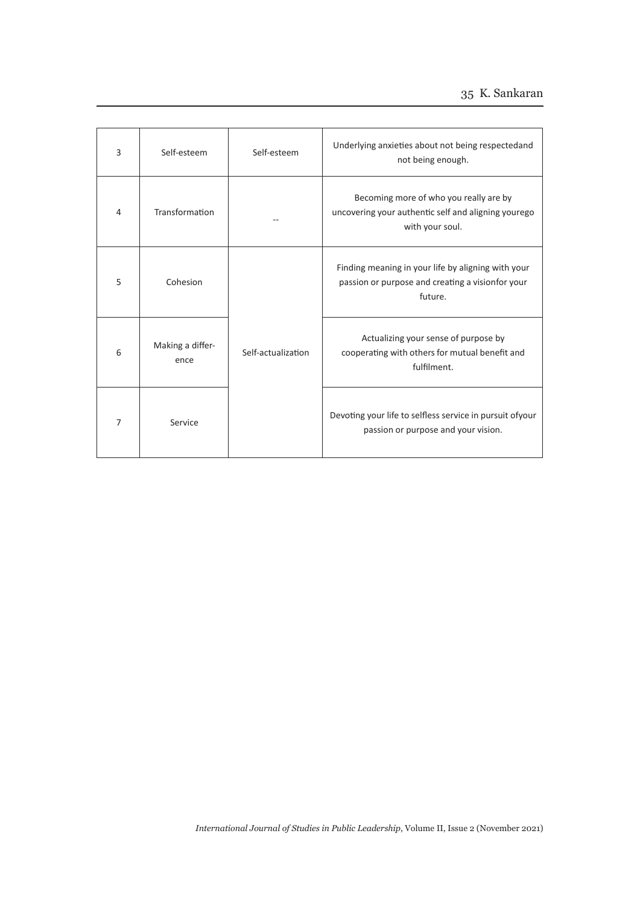# 35 K. Sankaran

| 3 | Self-esteem              | Self-esteem        | Underlying anxieties about not being respectedand<br>not being enough.                                            |
|---|--------------------------|--------------------|-------------------------------------------------------------------------------------------------------------------|
| 4 | Transformation           |                    | Becoming more of who you really are by<br>uncovering your authentic self and aligning yourego<br>with your soul.  |
| 5 | Cohesion                 |                    | Finding meaning in your life by aligning with your<br>passion or purpose and creating a visionfor your<br>future. |
| 6 | Making a differ-<br>ence | Self-actualization | Actualizing your sense of purpose by<br>cooperating with others for mutual benefit and<br>fulfilment.             |
| 7 | Service                  |                    | Devoting your life to selfless service in pursuit ofyour<br>passion or purpose and your vision.                   |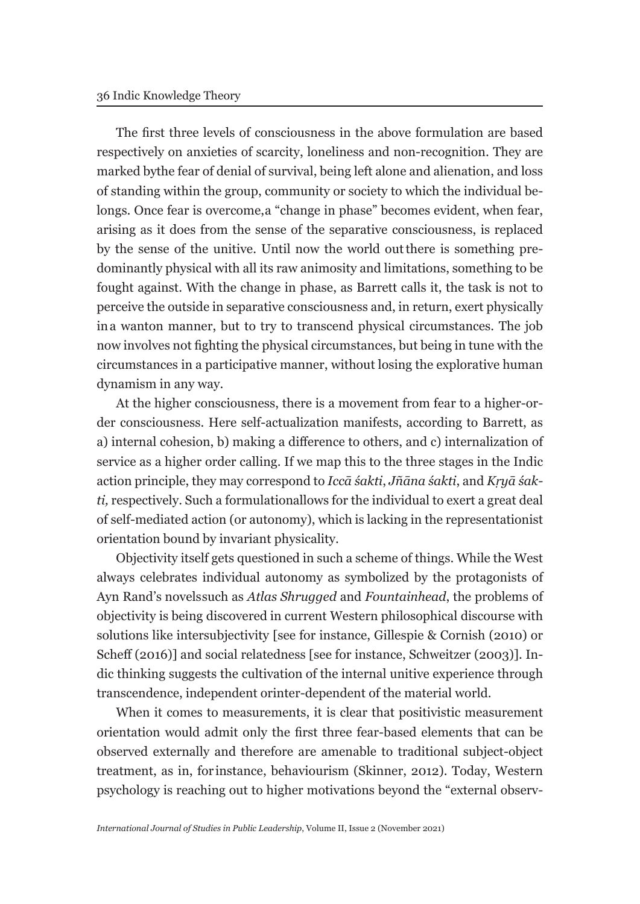The first three levels of consciousness in the above formulation are based respectively on anxieties of scarcity, loneliness and non-recognition. They are marked by the fear of denial of survival, being left alone and alienation, and loss of standing within the group, community or society to which the individual belongs. Once fear is overcome, a "change in phase" becomes evident, when fear, arising as it does from the sense of the separative consciousness, is replaced by the sense of the unitive. Until now the world out there is something predominantly physical with all its raw animosity and limitations, something to be fought against. With the change in phase, as Barrett calls it, the task is not to perceive the outside in separative consciousness and, in return, exert physically in a wanton manner, but to try to transcend physical circumstances. The job now involves not fighting the physical circumstances, but being in tune with the circumstances in a participative manner, without losing the explorative human dynamism in any way.

At the higher consciousness, there is a movement from fear to a higher-order consciousness. Here self-actualization manifests, according to Barrett, as a) internal cohesion, b) making a difference to others, and c) internalization of service as a higher order calling. If we map this to the three stages in the Indic action principle, they may correspond to *Iccā śakti*, *Jñāna śakti*, and *Kṛyā śakti*, respectively. Such a formulation allows for the individual to exert a great deal of self-mediated action (or autonomy), which is lacking in the representationist orientation bound by invariant physicality.

Objectivity itself gets questioned in such a scheme of things. While the West always celebrates individual autonomy as symbolized by the protagonists of Ayn Rand's novels such as *Atlas Shrugged* and *Fountainhead*, the problems of objectivity is being discovered in current Western philosophical discourse with solutions like intersubjectivity [see for instance, Gillespie & Cornish (2010) or Scheff (2016)] and social relatedness [see for instance, Schweitzer (2003)]. Indic thinking suggests the cultivation of the internal unitive experience through transcendence, independent or inter-dependent of the material world.

When it comes to measurements, it is clear that positivistic measurement orientation would admit only the first three fear-based elements that can be observed externally and therefore are amenable to traditional subject-object treatment, as in, for instance, behaviourism (Skinner, 2012). Today, Western psychology is reaching out to higher motivations beyond the "external observ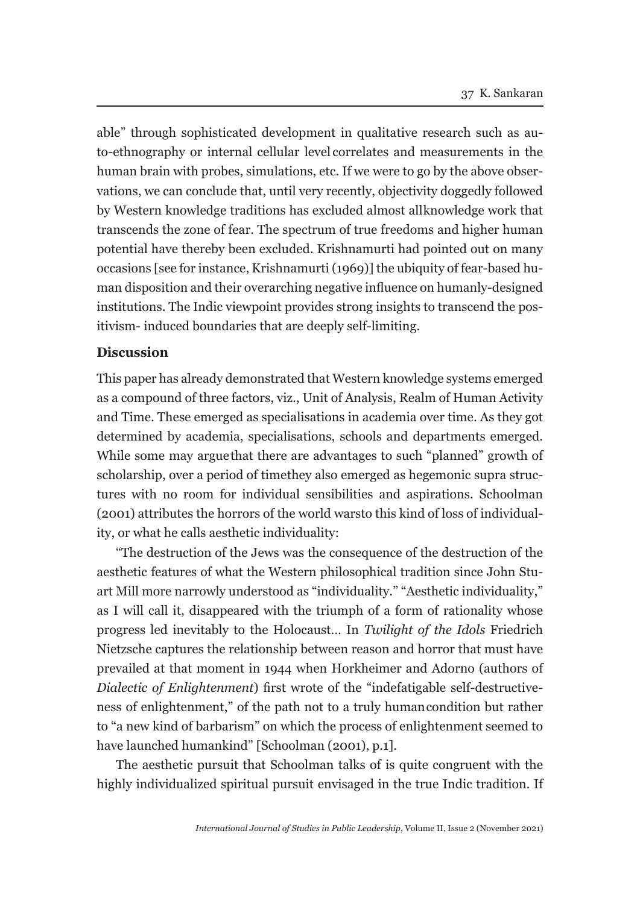able" through sophisticated development in qualitative research such as auto-ethnography or internal cellular level correlates and measurements in the human brain with probes, simulations, etc. If we were to go by the above observations, we can conclude that, until very recently, objectivity doggedly followed by Western knowledge traditions has excluded almost all knowledge work that transcends the zone of fear. The spectrum of true freedoms and higher human potential have thereby been excluded. Krishnamurti had pointed out on many occasions [see for instance, Krishnamurti (1969)] the ubiquity of fear-based human disposition and their overarching negative influence on humanly-designed institutions. The Indic viewpoint provides strong insights to transcend the positivism- induced boundaries that are deeply self-limiting.

### **Discussion**

This paper has already demonstrated that Western knowledge systems emerged as a compound of three factors, viz., Unit of Analysis, Realm of Human Activity and Time. These emerged as specialisations in academia over time. As they got determined by academia, specialisations, schools and departments emerged. While some may argue that there are advantages to such "planned" growth of scholarship, over a period of time they also emerged as hegemonic supra structures with no room for individual sensibilities and aspirations. Schoolman (2001) attributes the horrors of the world wars to this kind of loss of individuality, or what he calls aesthetic individuality:

"The destruction of the Jews was the consequence of the destruction of the aesthetic features of what the Western philosophical tradition since John Stuart Mill more narrowly understood as "individuality." "Aesthetic individuality," as I will call it, disappeared with the triumph of a form of rationality whose progress led inevitably to the Holocaust… In *Twilight of the Idols* Friedrich Nietzsche captures the relationship between reason and horror that must have prevailed at that moment in 1944 when Horkheimer and Adorno (authors of *Dialectic of Enlightenment*) first wrote of the "indefatigable self-destructiveness of enlightenment," of the path not to a truly human condition but rather to "a new kind of barbarism" on which the process of enlightenment seemed to have launched humankind" [Schoolman (2001), p.1].

The aesthetic pursuit that Schoolman talks of is quite congruent with the highly individualized spiritual pursuit envisaged in the true Indic tradition. If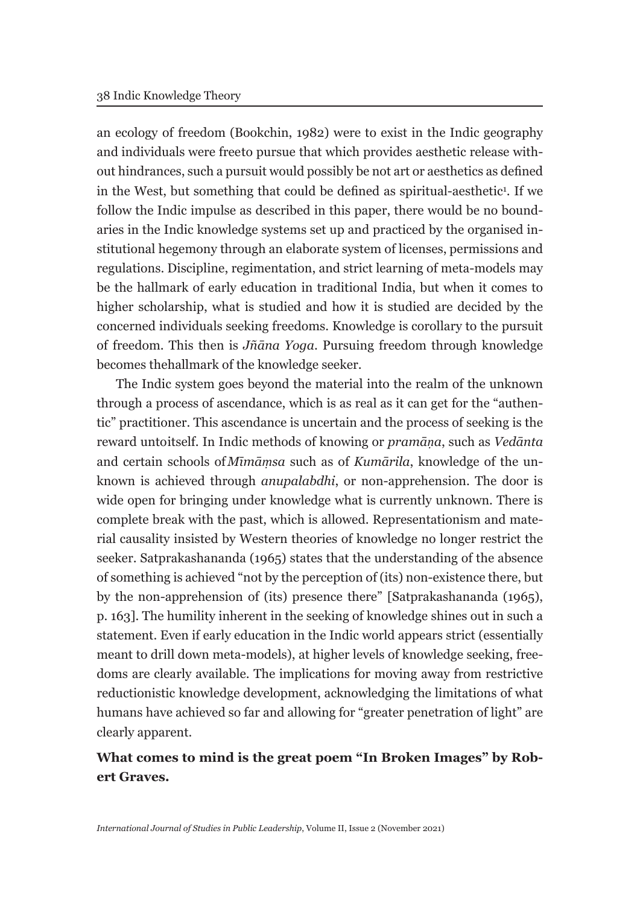an ecology of freedom (Bookchin, 1982) were to exist in the Indic geography and individuals were freeto pursue that which provides aesthetic release without hindrances, such a pursuit would possibly be not art or aesthetics as defined in the West, but something that could be defined as spiritual-aesthetic<sup>1</sup>. If we follow the Indic impulse as described in this paper, there would be no boundaries in the Indic knowledge systems set up and practiced by the organised institutional hegemony through an elaborate system of licenses, permissions and regulations. Discipline, regimentation, and strict learning of meta-models may be the hallmark of early education in traditional India, but when it comes to higher scholarship, what is studied and how it is studied are decided by the concerned individuals seeking freedoms. Knowledge is corollary to the pursuit of freedom. This then is *Jñāna Yoga*. Pursuing freedom through knowledge becomes the hallmark of the knowledge seeker.

The Indic system goes beyond the material into the realm of the unknown through a process of ascendance, which is as real as it can get for the "authentic" practitioner. This ascendance is uncertain and the process of seeking is the reward unto itself. In Indic methods of knowing or *pramāṇa*, such as *Vedānta*  and certain schools of *Mīmāṃsa* such as of *Kumārila*, knowledge of the unknown is achieved through *anupalabdhi*, or non-apprehension. The door is wide open for bringing under knowledge what is currently unknown. There is complete break with the past, which is allowed. Representationism and material causality insisted by Western theories of knowledge no longer restrict the seeker. Satprakashananda (1965) states that the understanding of the absence of something is achieved "not by the perception of (its) non-existence there, but by the non-apprehension of (its) presence there" [Satprakashananda (1965), p. 163]. The humility inherent in the seeking of knowledge shines out in such a statement. Even if early education in the Indic world appears strict (essentially meant to drill down meta-models), at higher levels of knowledge seeking, freedoms are clearly available. The implications for moving away from restrictive reductionistic knowledge development, acknowledging the limitations of what humans have achieved so far and allowing for "greater penetration of light" are clearly apparent.

# **What comes to mind is the great poem "In Broken Images" by Robert Graves.**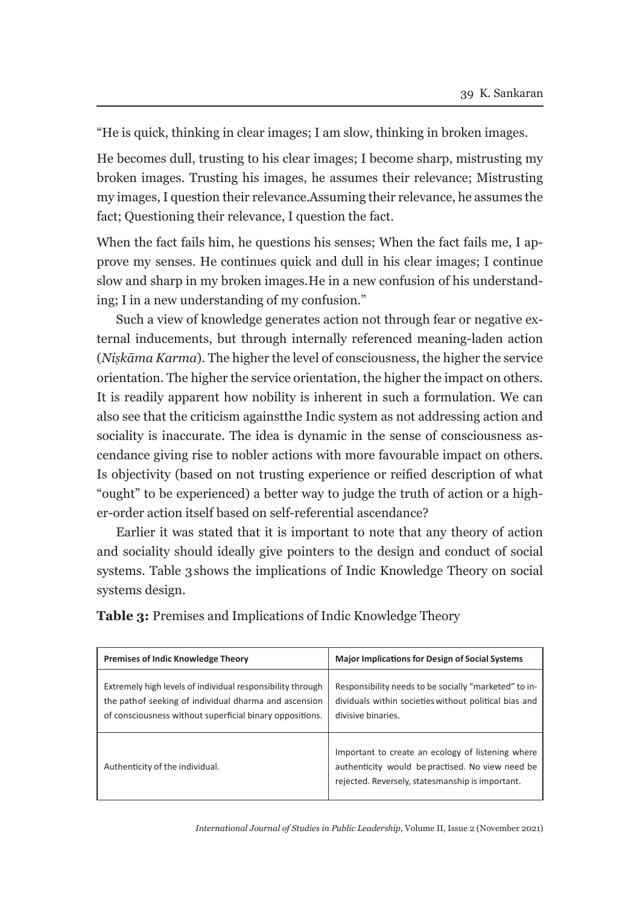"He is quick, thinking in clear images; I am slow, thinking in broken images.

He becomes dull, trusting to his clear images; I become sharp, mistrusting my broken images. Trusting his images, he assumes their relevance; Mistrusting my images, I question their relevance. Assuming their relevance, he assumes the fact; Questioning their relevance, I question the fact.

When the fact fails him, he questions his senses; When the fact fails me, I approve my senses. He continues quick and dull in his clear images; I continue slow and sharp in my broken images. He in a new confusion of his understanding; I in a new understanding of my confusion."

Such a view of knowledge generates action not through fear or negative external inducements, but through internally referenced meaning-laden action (*Niṣkāma Karma*). The higher the level of consciousness, the higher the service orientation. The higher the service orientation, the higher the impact on others. It is readily apparent how nobility is inherent in such a formulation. We can also see that the criticism against the Indic system as not addressing action and sociality is inaccurate. The idea is dynamic in the sense of consciousness ascendance giving rise to nobler actions with more favourable impact on others. Is objectivity (based on not trusting experience or reified description of what "ought" to be experienced) a better way to judge the truth of action or a higher-order action itself based on self-referential ascendance?

Earlier it was stated that it is important to note that any theory of action and sociality should ideally give pointers to the design and conduct of social systems. Table 3 shows the implications of Indic Knowledge Theory on social systems design.

| <b>Premises of Indic Knowledge Theory</b>                                                                                                                                        | <b>Major Implications for Design of Social Systems</b>                                                                                                    |
|----------------------------------------------------------------------------------------------------------------------------------------------------------------------------------|-----------------------------------------------------------------------------------------------------------------------------------------------------------|
| Extremely high levels of individual responsibility through<br>the path of seeking of individual dharma and ascension<br>of consciousness without superficial binary oppositions. | Responsibility needs to be socially "marketed" to in-<br>dividuals within societies without political bias and<br>divisive binaries.                      |
| Authenticity of the individual.                                                                                                                                                  | Important to create an ecology of listening where<br>authenticity would be practised. No view need be<br>rejected. Reversely, statesmanship is important. |

**Table 3:** Premises and Implications of Indic Knowledge Theory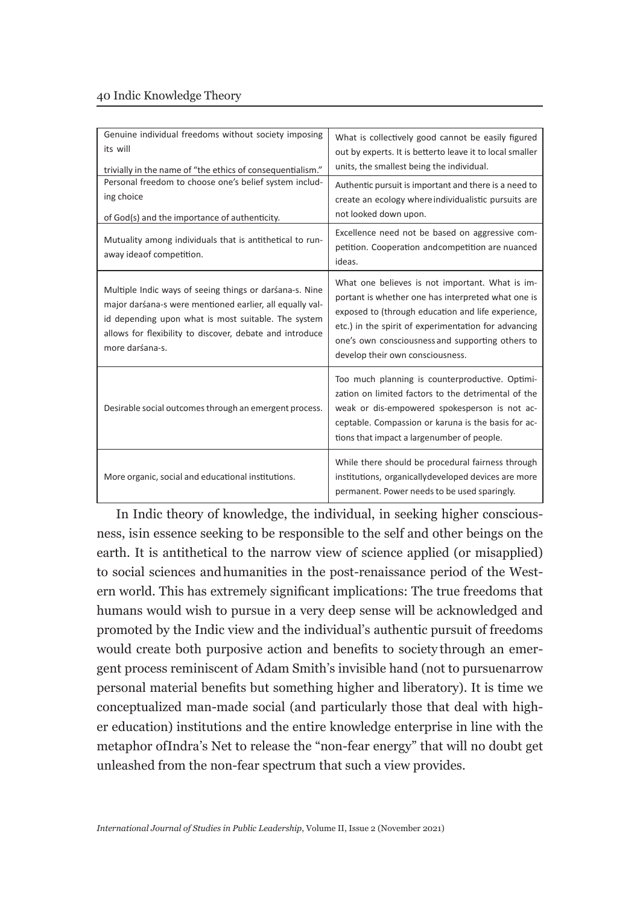| Genuine individual freedoms without society imposing<br>its will<br>trivially in the name of "the ethics of consequentialism."                                                                                                                            | What is collectively good cannot be easily figured<br>out by experts. It is betterto leave it to local smaller<br>units, the smallest being the individual.                                                                                                                                                 |
|-----------------------------------------------------------------------------------------------------------------------------------------------------------------------------------------------------------------------------------------------------------|-------------------------------------------------------------------------------------------------------------------------------------------------------------------------------------------------------------------------------------------------------------------------------------------------------------|
| Personal freedom to choose one's belief system includ-<br>ing choice<br>of God(s) and the importance of authenticity.                                                                                                                                     | Authentic pursuit is important and there is a need to<br>create an ecology where individualistic pursuits are<br>not looked down upon.                                                                                                                                                                      |
| Mutuality among individuals that is antithetical to run-<br>away ideaof competition.                                                                                                                                                                      | Excellence need not be based on aggressive com-<br>petition. Cooperation andcompetition are nuanced<br>ideas.                                                                                                                                                                                               |
| Multiple Indic ways of seeing things or darśana-s. Nine<br>major darśana-s were mentioned earlier, all equally val-<br>id depending upon what is most suitable. The system<br>allows for flexibility to discover, debate and introduce<br>more darśana-s. | What one believes is not important. What is im-<br>portant is whether one has interpreted what one is<br>exposed to (through education and life experience,<br>etc.) in the spirit of experimentation for advancing<br>one's own consciousness and supporting others to<br>develop their own consciousness. |
| Desirable social outcomes through an emergent process.                                                                                                                                                                                                    | Too much planning is counterproductive. Optimi-<br>zation on limited factors to the detrimental of the<br>weak or dis-empowered spokesperson is not ac-<br>ceptable. Compassion or karuna is the basis for ac-<br>tions that impact a largenumber of people.                                                |
| More organic, social and educational institutions.                                                                                                                                                                                                        | While there should be procedural fairness through<br>institutions, organically developed devices are more<br>permanent. Power needs to be used sparingly.                                                                                                                                                   |

In Indic theory of knowledge, the individual, in seeking higher consciousness, is in essence seeking to be responsible to the self and other beings on the earth. It is antithetical to the narrow view of science applied (or misapplied) to social sciences and humanities in the post-renaissance period of the Western world. This has extremely significant implications: The true freedoms that humans would wish to pursue in a very deep sense will be acknowledged and promoted by the Indic view and the individual's authentic pursuit of freedoms would create both purposive action and benefits to society through an emergent process reminiscent of Adam Smith's invisible hand (not to pursue narrow personal material benefits but something higher and liberatory). It is time we conceptualized man-made social (and particularly those that deal with higher education) institutions and the entire knowledge enterprise in line with the metaphor of Indra's Net to release the "non-fear energy" that will no doubt get unleashed from the non-fear spectrum that such a view provides.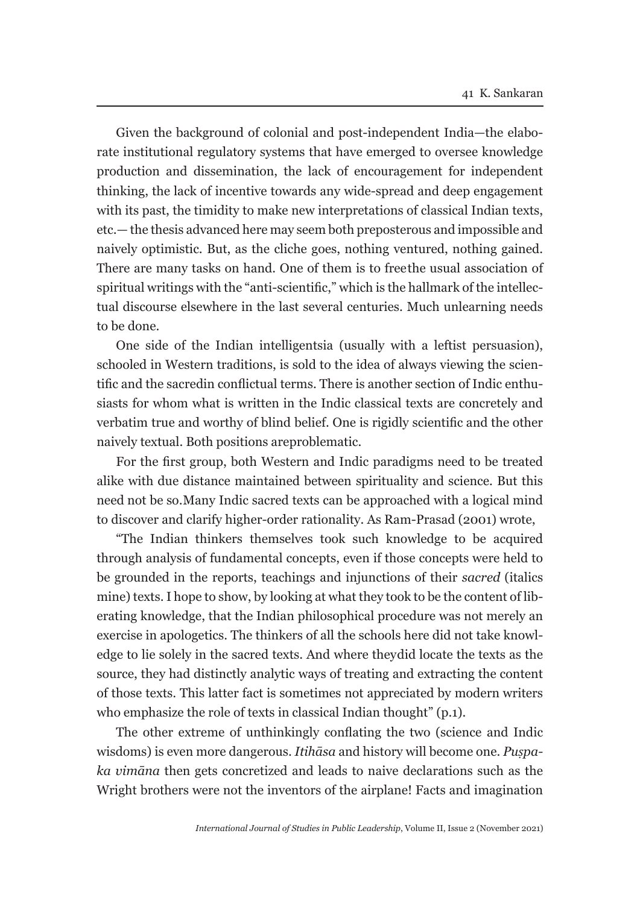Given the background of colonial and post-independent India—the elaborate institutional regulatory systems that have emerged to oversee knowledge production and dissemination, the lack of encouragement for independent thinking, the lack of incentive towards any wide-spread and deep engagement with its past, the timidity to make new interpretations of classical Indian texts, etc.— the thesis advanced here may seem both preposterous and impossible and naively optimistic. But, as the cliche goes, nothing ventured, nothing gained. There are many tasks on hand. One of them is to free the usual association of spiritual writings with the "anti-scientific," which is the hallmark of the intellectual discourse elsewhere in the last several centuries. Much unlearning needs to be done.

One side of the Indian intelligentsia (usually with a leftist persuasion), schooled in Western traditions, is sold to the idea of always viewing the scientific and the sacred in conflictual terms. There is another section of Indic enthusiasts for whom what is written in the Indic classical texts are concretely and verbatim true and worthy of blind belief. One is rigidly scientific and the other naively textual. Both positions are problematic.

For the first group, both Western and Indic paradigms need to be treated alike with due distance maintained between spirituality and science. But this need not be so. Many Indic sacred texts can be approached with a logical mind to discover and clarify higher-order rationality. As Ram-Prasad (2001) wrote,

"The Indian thinkers themselves took such knowledge to be acquired through analysis of fundamental concepts, even if those concepts were held to be grounded in the reports, teachings and injunctions of their *sacred* (italics mine) texts. I hope to show, by looking at what they took to be the content of liberating knowledge, that the Indian philosophical procedure was not merely an exercise in apologetics. The thinkers of all the schools here did not take knowledge to lie solely in the sacred texts. And where they did locate the texts as the source, they had distinctly analytic ways of treating and extracting the content of those texts. This latter fact is sometimes not appreciated by modern writers who emphasize the role of texts in classical Indian thought" (p.1).

The other extreme of unthinkingly conflating the two (science and Indic wisdoms) is even more dangerous. *Itihāsa* and history will become one. *Puṣpaka vimāna* then gets concretized and leads to naive declarations such as the Wright brothers were not the inventors of the airplane! Facts and imagination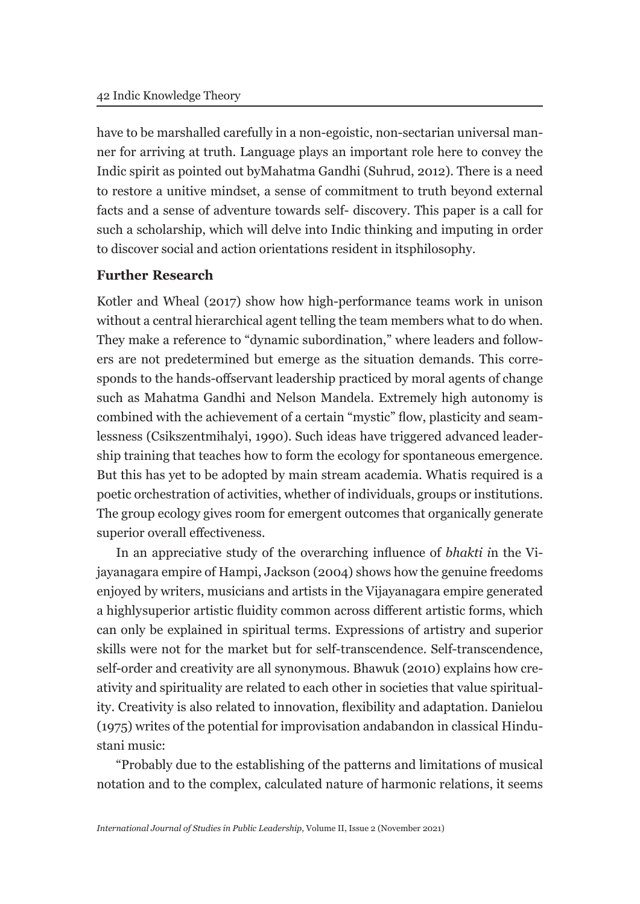have to be marshalled carefully in a non-egoistic, non-sectarian universal manner for arriving at truth. Language plays an important role here to convey the Indic spirit as pointed out by Mahatma Gandhi (Suhrud, 2012). There is a need to restore a unitive mindset, a sense of commitment to truth beyond external facts and a sense of adventure towards self- discovery. This paper is a call for such a scholarship, which will delve into Indic thinking and imputing in order to discover social and action orientations resident in its philosophy.

### **Further Research**

Kotler and Wheal (2017) show how high-performance teams work in unison without a central hierarchical agent telling the team members what to do when. They make a reference to "dynamic subordination," where leaders and followers are not predetermined but emerge as the situation demands. This corresponds to the hands-off servant leadership practiced by moral agents of change such as Mahatma Gandhi and Nelson Mandela. Extremely high autonomy is combined with the achievement of a certain "mystic" flow, plasticity and seamlessness (Csikszentmihalyi, 1990). Such ideas have triggered advanced leadership training that teaches how to form the ecology for spontaneous emergence. But this has yet to be adopted by main stream academia. What is required is a poetic orchestration of activities, whether of individuals, groups or institutions. The group ecology gives room for emergent outcomes that organically generate superior overall effectiveness.

In an appreciative study of the overarching influence of *bhakti i*n the Vijayanagara empire of Hampi, Jackson (2004) shows how the genuine freedoms enjoyed by writers, musicians and artists in the Vijayanagara empire generated a highly superior artistic fluidity common across different artistic forms, which can only be explained in spiritual terms. Expressions of artistry and superior skills were not for the market but for self-transcendence. Self-transcendence, self-order and creativity are all synonymous. Bhawuk (2010) explains how creativity and spirituality are related to each other in societies that value spirituality. Creativity is also related to innovation, flexibility and adaptation. Danielou (1975) writes of the potential for improvisation and abandon in classical Hindustani music:

"Probably due to the establishing of the patterns and limitations of musical notation and to the complex, calculated nature of harmonic relations, it seems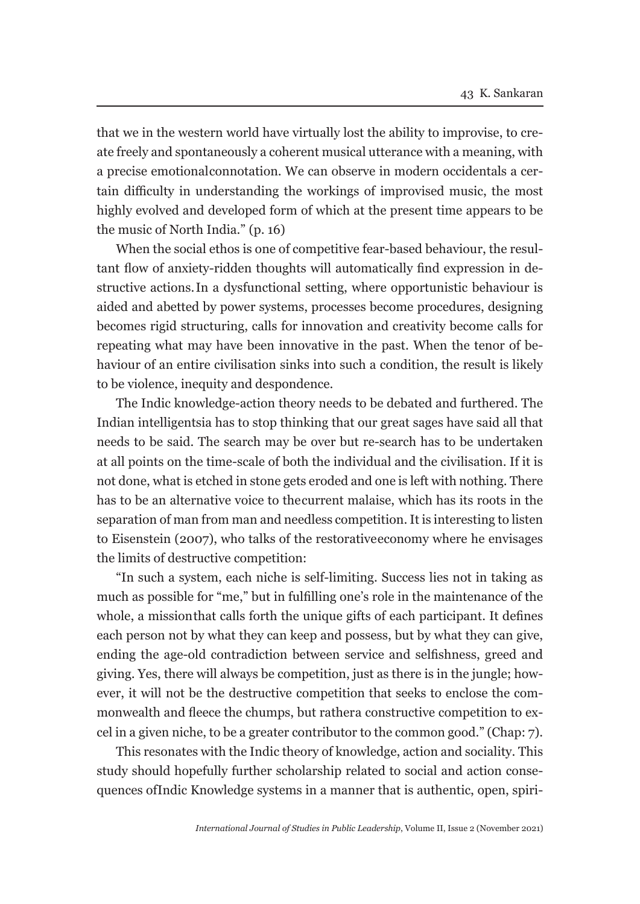that we in the western world have virtually lost the ability to improvise, to create freely and spontaneously a coherent musical utterance with a meaning, with a precise emotional connotation. We can observe in modern occidentals a certain difficulty in understanding the workings of improvised music, the most highly evolved and developed form of which at the present time appears to be the music of North India." (p. 16)

When the social ethos is one of competitive fear-based behaviour, the resultant flow of anxiety-ridden thoughts will automatically find expression in destructive actions. In a dysfunctional setting, where opportunistic behaviour is aided and abetted by power systems, processes become procedures, designing becomes rigid structuring, calls for innovation and creativity become calls for repeating what may have been innovative in the past. When the tenor of behaviour of an entire civilisation sinks into such a condition, the result is likely to be violence, inequity and despondence.

The Indic knowledge-action theory needs to be debated and furthered. The Indian intelligentsia has to stop thinking that our great sages have said all that needs to be said. The search may be over but re-search has to be undertaken at all points on the time-scale of both the individual and the civilisation. If it is not done, what is etched in stone gets eroded and one is left with nothing. There has to be an alternative voice to the current malaise, which has its roots in the separation of man from man and needless competition. It is interesting to listen to Eisenstein (2007), who talks of the restorative economy where he envisages the limits of destructive competition:

"In such a system, each niche is self-limiting. Success lies not in taking as much as possible for "me," but in fulfilling one's role in the maintenance of the whole, a mission that calls forth the unique gifts of each participant. It defines each person not by what they can keep and possess, but by what they can give, ending the age-old contradiction between service and selfishness, greed and giving. Yes, there will always be competition, just as there is in the jungle; however, it will not be the destructive competition that seeks to enclose the commonwealth and fleece the chumps, but rather a constructive competition to excel in a given niche, to be a greater contributor to the common good." (Chap: 7).

This resonates with the Indic theory of knowledge, action and sociality. This study should hopefully further scholarship related to social and action consequences of Indic Knowledge systems in a manner that is authentic, open, spiri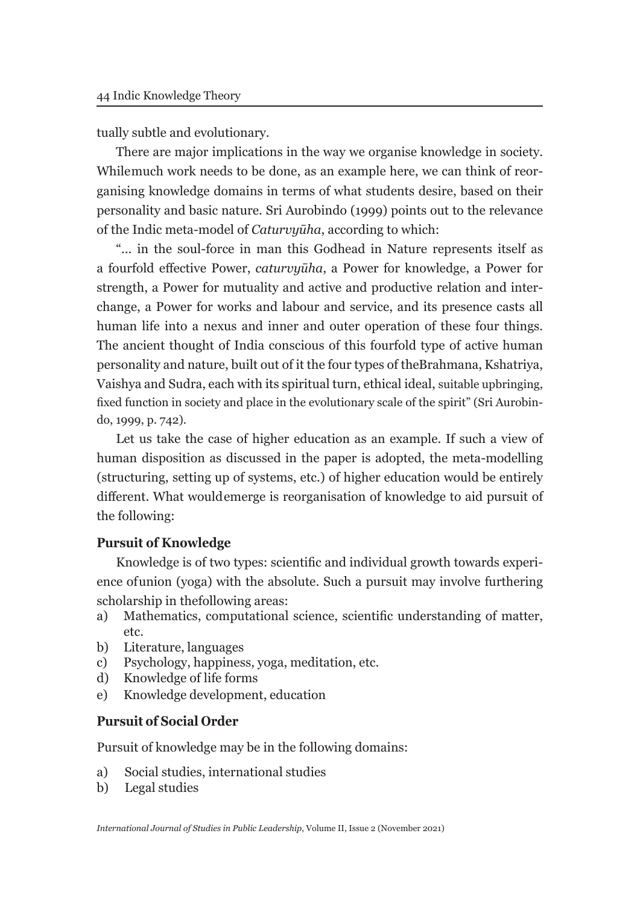tually subtle and evolutionary.

There are major implications in the way we organise knowledge in society. While much work needs to be done, as an example here, we can think of reorganising knowledge domains in terms of what students desire, based on their personality and basic nature. Sri Aurobindo (1999) points out to the relevance of the Indic meta-model of *Caturvyūha*, according to which:

"... in the soul-force in man this Godhead in Nature represents itself as a fourfold effective Power, *caturvyūha*, a Power for knowledge, a Power for strength, a Power for mutuality and active and productive relation and interchange, a Power for works and labour and service, and its presence casts all human life into a nexus and inner and outer operation of these four things. The ancient thought of India conscious of this fourfold type of active human personality and nature, built out of it the four types of the Brahmana, Kshatriya, Vaishya and Sudra, each with its spiritual turn, ethical ideal, suitable upbringing, fixed function in society and place in the evolutionary scale of the spirit" (Sri Aurobindo, 1999, p. 742).

Let us take the case of higher education as an example. If such a view of human disposition as discussed in the paper is adopted, the meta-modelling (structuring, setting up of systems, etc.) of higher education would be entirely different. What would emerge is reorganisation of knowledge to aid pursuit of the following:

### **Pursuit of Knowledge**

Knowledge is of two types: scientific and individual growth towards experience of union (yoga) with the absolute. Such a pursuit may involve furthering scholarship in the following areas:

- a) Mathematics, computational science, scientific understanding of matter, etc.
- b) Literature, languages
- c) Psychology, happiness, yoga, meditation, etc.
- d) Knowledge of life forms
- e) Knowledge development, education

### **Pursuit of Social Order**

Pursuit of knowledge may be in the following domains:

- a) Social studies, international studies
- b) Legal studies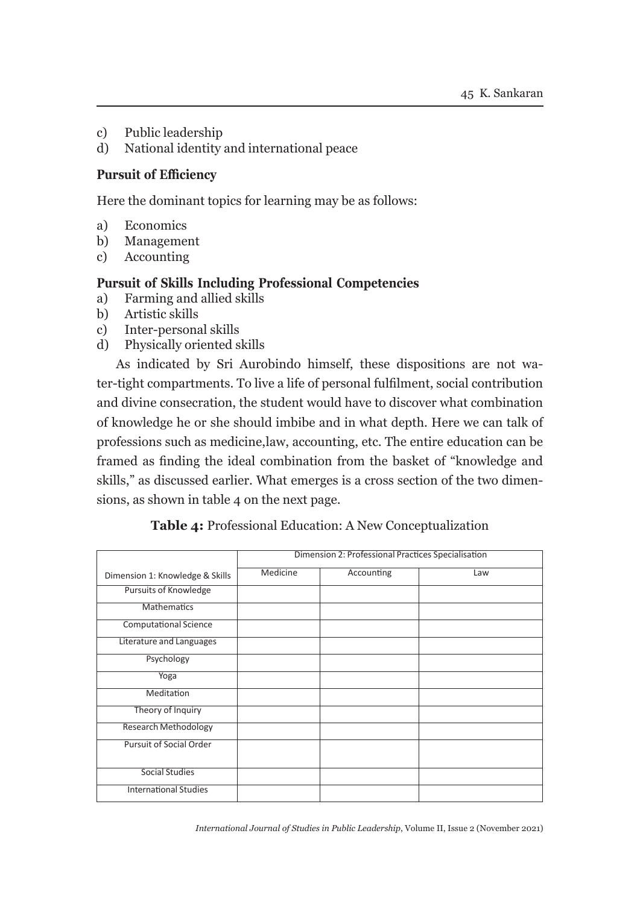- c) Public leadership
- d) National identity and international peace

#### **Pursuit of Efficiency**

Here the dominant topics for learning may be as follows:

- a) Economics
- b) Management
- c) Accounting

#### **Pursuit of Skills Including Professional Competencies**

- a) Farming and allied skills
- b) Artistic skills
- c) Inter-personal skills
- d) Physically oriented skills

As indicated by Sri Aurobindo himself, these dispositions are not water-tight compartments. To live a life of personal fulfilment, social contribution and divine consecration, the student would have to discover what combination of knowledge he or she should imbibe and in what depth. Here we can talk of professions such as medicine, law, accounting, etc. The entire education can be framed as finding the ideal combination from the basket of "knowledge and skills," as discussed earlier. What emerges is a cross section of the two dimensions, as shown in table 4 on the next page.

|                                 | Dimension 2: Professional Practices Specialisation |            |     |  |
|---------------------------------|----------------------------------------------------|------------|-----|--|
| Dimension 1: Knowledge & Skills | Medicine                                           | Accounting | Law |  |
| Pursuits of Knowledge           |                                                    |            |     |  |
| <b>Mathematics</b>              |                                                    |            |     |  |
| <b>Computational Science</b>    |                                                    |            |     |  |
| Literature and Languages        |                                                    |            |     |  |
| Psychology                      |                                                    |            |     |  |
| Yoga                            |                                                    |            |     |  |
| Meditation                      |                                                    |            |     |  |
| Theory of Inquiry               |                                                    |            |     |  |
| <b>Research Methodology</b>     |                                                    |            |     |  |
| <b>Pursuit of Social Order</b>  |                                                    |            |     |  |
|                                 |                                                    |            |     |  |
| <b>Social Studies</b>           |                                                    |            |     |  |
| <b>International Studies</b>    |                                                    |            |     |  |

**Table 4:** Professional Education: A New Conceptualization

*International Journal of Studies in Public Leadership*, Volume II, Issue 2 (November 2021)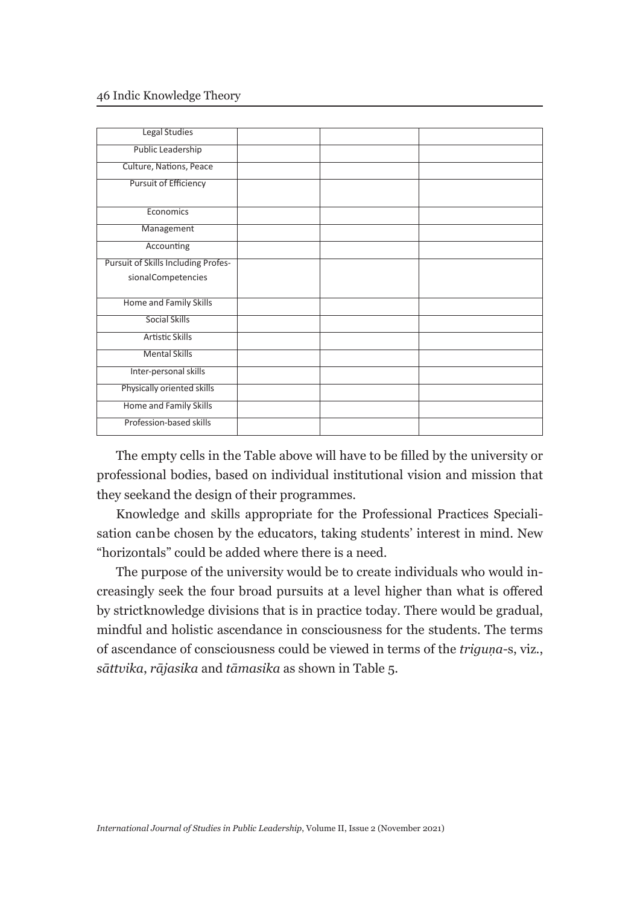#### 46 Indic Knowledge Theory

| Legal Studies                       |  |  |
|-------------------------------------|--|--|
|                                     |  |  |
| <b>Public Leadership</b>            |  |  |
|                                     |  |  |
| Culture, Nations, Peace             |  |  |
| <b>Pursuit of Efficiency</b>        |  |  |
|                                     |  |  |
| Economics                           |  |  |
|                                     |  |  |
| Management                          |  |  |
| Accounting                          |  |  |
|                                     |  |  |
| Pursuit of Skills Including Profes- |  |  |
| sionalCompetencies                  |  |  |
|                                     |  |  |
| Home and Family Skills              |  |  |
|                                     |  |  |
| <b>Social Skills</b>                |  |  |
| <b>Artistic Skills</b>              |  |  |
|                                     |  |  |
| <b>Mental Skills</b>                |  |  |
| Inter-personal skills               |  |  |
|                                     |  |  |
| Physically oriented skills          |  |  |
| Home and Family Skills              |  |  |
|                                     |  |  |
| Profession-based skills             |  |  |
|                                     |  |  |

The empty cells in the Table above will have to be filled by the university or professional bodies, based on individual institutional vision and mission that they seek and the design of their programmes.

Knowledge and skills appropriate for the Professional Practices Specialisation can be chosen by the educators, taking students' interest in mind. New "horizontals" could be added where there is a need.

The purpose of the university would be to create individuals who would increasingly seek the four broad pursuits at a level higher than what is offered by strict knowledge divisions that is in practice today. There would be gradual, mindful and holistic ascendance in consciousness for the students. The terms of ascendance of consciousness could be viewed in terms of the *triguṇa-*s, viz., *sāttvika*, *rājasika* and *tāmasika* as shown in Table 5.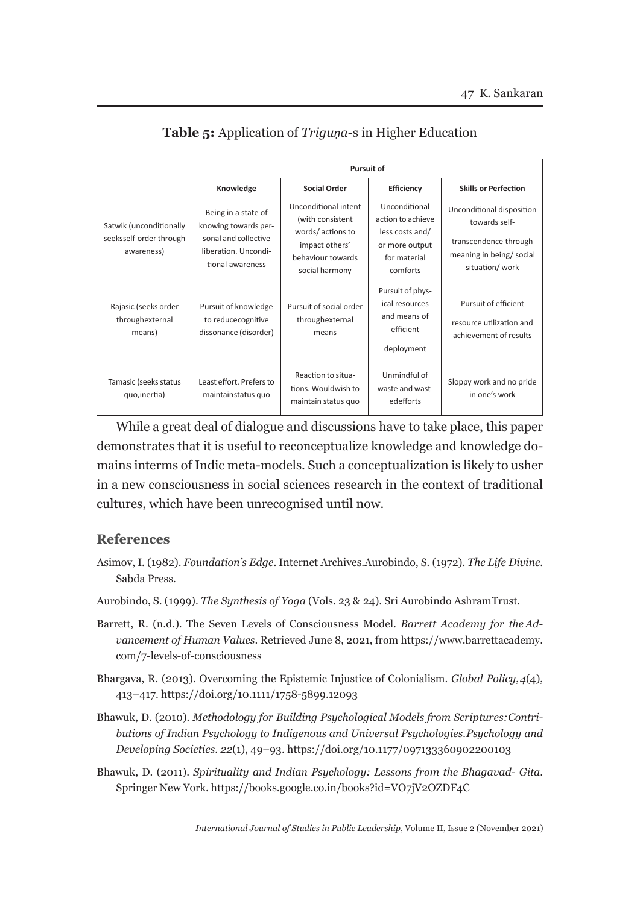|                                                                  | <b>Pursuit of</b>                                                                                               |                                                                                                                       |                                                                                                     |                                                                                                                  |
|------------------------------------------------------------------|-----------------------------------------------------------------------------------------------------------------|-----------------------------------------------------------------------------------------------------------------------|-----------------------------------------------------------------------------------------------------|------------------------------------------------------------------------------------------------------------------|
|                                                                  | Knowledge                                                                                                       | <b>Social Order</b>                                                                                                   | Efficiency                                                                                          | <b>Skills or Perfection</b>                                                                                      |
| Satwik (unconditionally<br>seeksself-order through<br>awareness) | Being in a state of<br>knowing towards per-<br>sonal and collective<br>liberation. Uncondi-<br>tional awareness | Unconditional intent<br>(with consistent<br>words/actions to<br>impact others'<br>behaviour towards<br>social harmony | Unconditional<br>action to achieve<br>less costs and/<br>or more output<br>for material<br>comforts | Unconditional disposition<br>towards self-<br>transcendence through<br>meaning in being/social<br>situation/work |
| Rajasic (seeks order<br>throughexternal<br>means)                | Pursuit of knowledge<br>to reducecognitive<br>dissonance (disorder)                                             | Pursuit of social order<br>throughexternal<br>means                                                                   | Pursuit of phys-<br>ical resources<br>and means of<br>efficient<br>deployment                       | Pursuit of efficient<br>resource utilization and<br>achievement of results                                       |
| Tamasic (seeks status<br>quo, inertia)                           | Least effort. Prefers to<br>maintainstatus quo                                                                  | Reaction to situa-<br>tions. Wouldwish to<br>maintain status quo                                                      | Unmindful of<br>waste and wast-<br>edefforts                                                        | Sloppy work and no pride<br>in one's work                                                                        |

## **Table 5:** Application of *Triguṇa-*s in Higher Education

While a great deal of dialogue and discussions have to take place, this paper demonstrates that it is useful to reconceptualize knowledge and knowledge domains in terms of Indic meta-models. Such a conceptualization is likely to usher in a new consciousness in social sciences research in the context of traditional cultures, which have been unrecognised until now.

#### **References**

- Asimov, I. (1982). *Foundation's Edge*. Internet Archives. Aurobindo, S. (1972). *The Life Divine*. Sabda Press.
- Aurobindo, S. (1999). *The Synthesis of Yoga* (Vols. 23 & 24). Sri Aurobindo Ashram Trust.
- Barrett, R. (n.d.). The Seven Levels of Consciousness Model. *Barrett Academy for the Advancement of Human Values*. Retrieved June 8, 2021, from https://www.barrettacademy. com/7-levels-of-consciousness
- Bhargava, R. (2013). Overcoming the Epistemic Injustice of Colonialism. *Global Policy*, *4*(4), 413–417. https://doi.org/10.1111/1758-5899.12093
- Bhawuk, D. (2010). *Methodology for Building Psychological Models from Scriptures: Contributions of Indian Psychology to Indigenous and Universal Psychologies. Psychology and Developing Societies*. *22*(1), 49–93. https://doi.org/10.1177/097133360902200103
- Bhawuk, D. (2011). *Spirituality and Indian Psychology: Lessons from the Bhagavad- Gita*. Springer New York. https://books.google.co.in/books?id=VO7jV2OZDF4C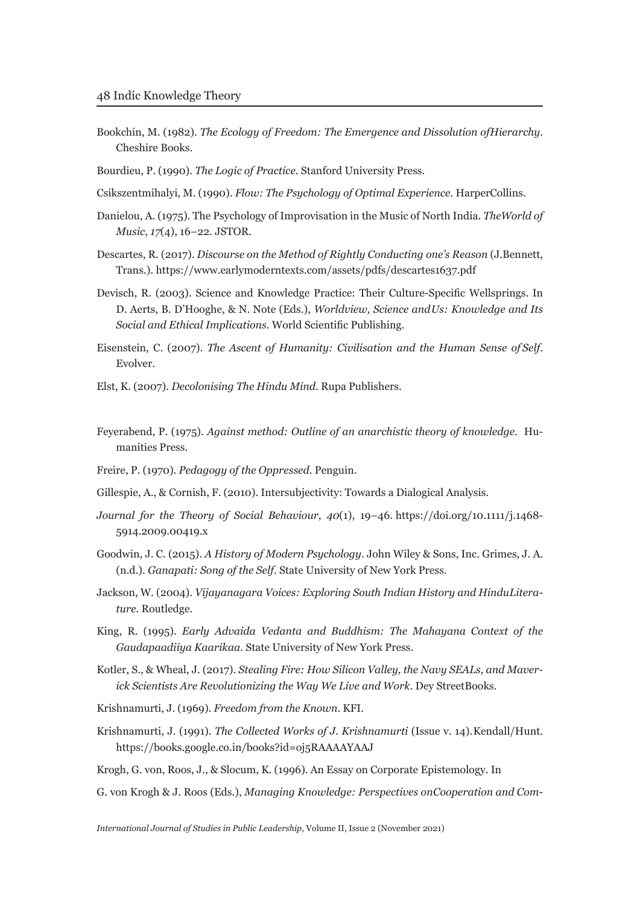- Bookchin, M. (1982). *The Ecology of Freedom: The Emergence and Dissolution of Hierarchy*. Cheshire Books.
- Bourdieu, P. (1990). *The Logic of Practice*. Stanford University Press.
- Csikszentmihalyi, M. (1990). *Flow: The Psychology of Optimal Experience*. HarperCollins.
- Danielou, A. (1975). The Psychology of Improvisation in the Music of North India. *The World of Music*, *17*(4), 16–22. JSTOR.
- Descartes, R. (2017). *Discourse on the Method of Rightly Conducting one's Reason* (J. Bennett, Trans.). https://www.earlymoderntexts.com/assets/pdfs/descartes1637.pdf
- Devisch, R. (2003). Science and Knowledge Practice: Their Culture-Specific Wellsprings. In D. Aerts, B. D'Hooghe, & N. Note (Eds.), *Worldview, Science and Us: Knowledge and Its Social and Ethical Implications*. World Scientific Publishing.
- Eisenstein, C. (2007). *The Ascent of Humanity: Civilisation and the Human Sense of Self*. Evolver.
- Elst, K. (2007). *Decolonising The Hindu Mind*. Rupa Publishers.
- Feyerabend, P. (1975). *Against method: Outline of an anarchistic theory of knowledge*. Humanities Press.
- Freire, P. (1970). *Pedagogy of the Oppressed*. Penguin.
- Gillespie, A., & Cornish, F. (2010). Intersubjectivity: Towards a Dialogical Analysis.
- *Journal for the Theory of Social Behaviour*, *40*(1), 19–46. https://doi.org/10.1111/j.1468- 5914.2009.00419.x
- Goodwin, J. C. (2015). *A History of Modern Psychology*. John Wiley & Sons, Inc. Grimes, J. A. (n.d.). *Ganapati: Song of the Self*. State University of New York Press.
- Jackson, W. (2004). *Vijayanagara Voices: Exploring South Indian History and HinduLiterature*. Routledge.
- King, R. (1995). *Early Advaida Vedanta and Buddhism: The Mahayana Context of the Gaudapaadiiya Kaarikaa*. State University of New York Press.
- Kotler, S., & Wheal, J. (2017). *Stealing Fire: How Silicon Valley, the Navy SEALs, and Maverick Scientists Are Revolutionizing the Way We Live and Work*. Dey Street Books.
- Krishnamurti, J. (1969). *Freedom from the Known*. KFI.
- Krishnamurti, J. (1991). *The Collected Works of J. Krishnamurti* (Issue v. 14). Kendall/Hunt. https://books.google.co.in/books?id=oj5RAAAAYAAJ

Krogh, G. von, Roos, J., & Slocum, K. (1996). An Essay on Corporate Epistemology. In

G. von Krogh & J. Roos (Eds.), *Managing Knowledge: Perspectives on Cooperation and Com-*

*International Journal of Studies in Public Leadership*, Volume II, Issue 2 (November 2021)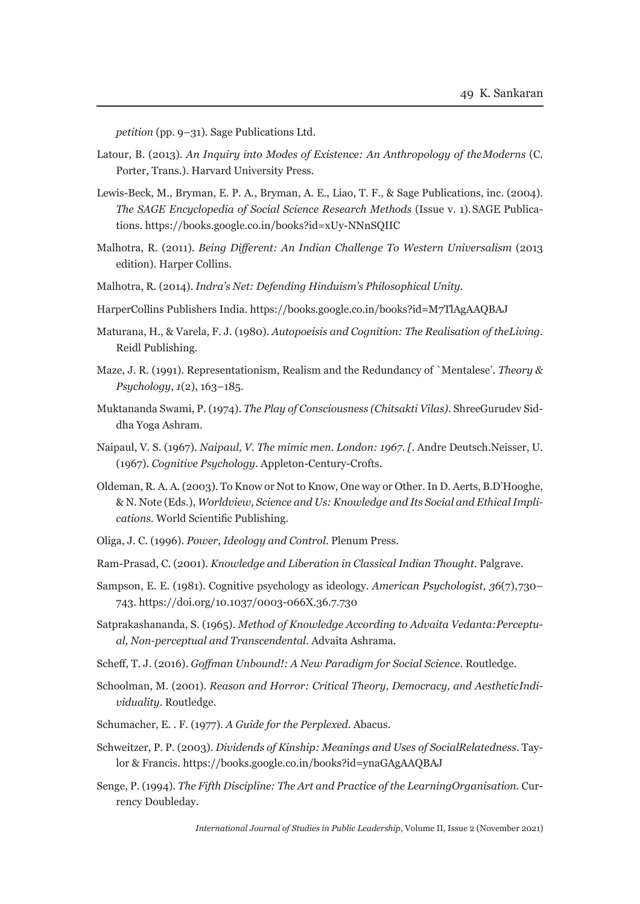*petition* (pp. 9–31). Sage Publications Ltd.

- Latour, B. (2013). *An Inquiry into Modes of Existence: An Anthropology of the Moderns* (C. Porter, Trans.). Harvard University Press.
- Lewis-Beck, M., Bryman, E. P. A., Bryman, A. E., Liao, T. F., & Sage Publications, inc. (2004). *The SAGE Encyclopedia of Social Science Research Methods* (Issue v. 1). SAGE Publications. https://books.google.co.in/books?id=xUy-NNnSQIIC
- Malhotra, R. (2011). *Being Different: An Indian Challenge To Western Universalism* (2013 edition). Harper Collins.
- Malhotra, R. (2014). *Indra's Net: Defending Hinduism's Philosophical Unity.*
- HarperCollins Publishers India. https://books.google.co.in/books?id=M7TlAgAAQBAJ
- Maturana, H., & Varela, F. J. (1980). *Autopoeisis and Cognition: The Realisation of the Living*. Reidl Publishing.
- Maze, J. R. (1991). Representationism, Realism and the Redundancy of `Mentalese'. *Theory & Psychology*, *1*(2), 163–185.
- Muktananda Swami, P. (1974). *The Play of Consciousness (Chitsakti Vilas)*. Shree Gurudev Siddha Yoga Ashram.
- Naipaul, V. S. (1967). *Naipaul, V. The mimic men. London: 1967. [*. Andre Deutsch. Neisser, U. (1967). *Cognitive Psychology*. Appleton-Century-Crofts.
- Oldeman, R. A. A. (2003). To Know or Not to Know, One way or Other. In D. Aerts, B.D'Hooghe, & N. Note (Eds.), *Worldview, Science and Us: Knowledge and Its Social and Ethical Implications*. World Scientific Publishing.
- Oliga, J. C. (1996). *Power, Ideology and Control*. Plenum Press.
- Ram-Prasad, C. (2001). *Knowledge and Liberation in Classical Indian Thought*. Palgrave.
- Sampson, E. E. (1981). Cognitive psychology as ideology. *American Psychologist*, *36*(7), 730– 743. https://doi.org/10.1037/0003-066X.36.7.730
- Satprakashananda, S. (1965). *Method of Knowledge According to Advaita Vedanta: Perceptual, Non-perceptual and Transcendental*. Advaita Ashrama.
- Scheff, T. J. (2016). *Goffman Unbound!: A New Paradigm for Social Science*. Routledge.
- Schoolman, M. (2001). *Reason and Horror: Critical Theory, Democracy, and Aesthetic Individuality*. Routledge.
- Schumacher, E. . F. (1977). *A Guide for the Perplexed*. Abacus.
- Schweitzer, P. P. (2003). *Dividends of Kinship: Meanings and Uses of Social Relatedness*. Taylor & Francis. https://books.google.co.in/books?id=ynaGAgAAQBAJ
- Senge, P. (1994). *The Fifth Discipline: The Art and Practice of the Learning Organisation*. Currency Doubleday.